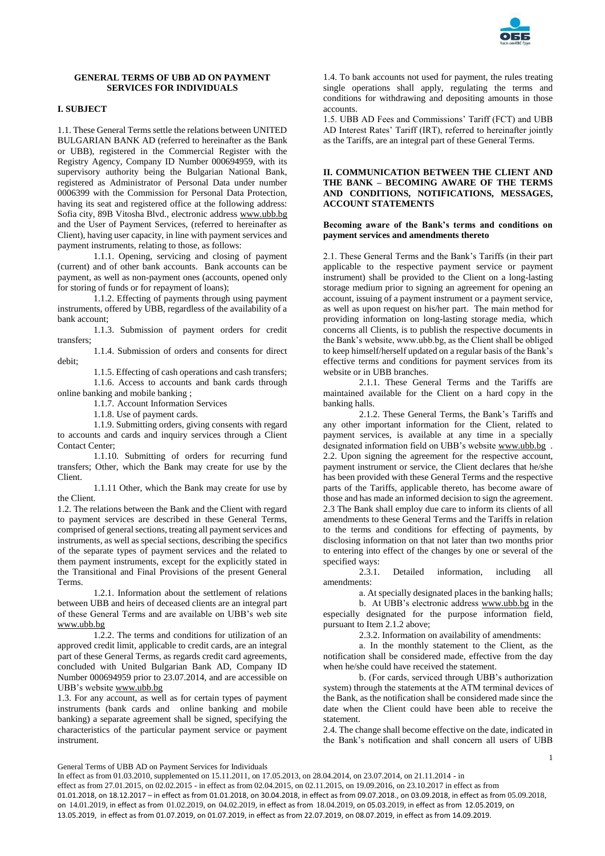

## **GENERAL TERMS OF UBB AD ON PAYMENT SERVICES FOR INDIVIDUALS**

# **I. SUBJECT**

1.1. These General Terms settle the relations between UNITED BULGARIAN BANK AD (referred to hereinafter as the Bank or UBB), registered in the Commercial Register with the Registry Agency, Company ID Number 000694959, with its supervisory authority being the Bulgarian National Bank, registered as Administrator of Personal Data under number 0006399 with the Commission for Personal Data Protection, having its seat and registered office at the following address: Sofia city, 89B Vitosha Blvd., electronic address [www.ubb.bg](http://www.ubb.bg/) and the User of Payment Services, (referred to hereinafter as Client), having user capacity, in line with payment services and payment instruments, relating to those, as follows:

1.1.1. Opening, servicing and closing of payment (current) and of other bank accounts. Bank accounts can be payment, as well as non-payment ones (accounts, opened only for storing of funds or for repayment of loans);

1.1.2. Effecting of payments through using payment instruments, offered by UBB, regardless of the availability of a bank account;

1.1.3. Submission of payment orders for credit transfers;

1.1.4. Submission of orders and consents for direct debit;

1.1.5. Effecting of cash operations and cash transfers; 1.1.6. Access to accounts and bank cards through online banking and mobile banking ;

1.1.7. Account Information Services

1.1.8. Use of payment cards.

1.1.9. Submitting orders, giving consents with regard to accounts and cards and inquiry services through a Client Contact Center;

1.1.10. Submitting of orders for recurring fund transfers; Other, which the Bank may create for use by the Client.

1.1.11 Other, which the Bank may create for use by the Client.

1.2. The relations between the Bank and the Client with regard to payment services are described in these General Terms, comprised of general sections, treating all payment services and instruments, as well as special sections, describing the specifics of the separate types of payment services and the related to them payment instruments, except for the explicitly stated in the Transitional and Final Provisions of the present General Terms.

1.2.1. Information about the settlement of relations between UBB and heirs of deceased clients are an integral part of these General Terms and are available on UBB's web site [www.ubb.bg](http://www.ubb.bg/)

1.2.2. The terms and conditions for utilization of an approved credit limit, applicable to credit cards, are an integral part of these General Terms, as regards credit card agreements, concluded with United Bulgarian Bank AD, Company ID Number 000694959 prior to 23.07.2014, and are accessible on UBB's websit[e www.ubb.bg](http://www.ubb.bg/)

1.3. For any account, as well as for certain types of payment instruments (bank cards and online banking and mobile banking) a separate agreement shall be signed, specifying the characteristics of the particular payment service or payment instrument.

1.4. To bank accounts not used for payment, the rules treating single operations shall apply, regulating the terms and conditions for withdrawing and depositing amounts in those accounts.

1.5. UBB AD Fees and Commissions' Tariff (FCT) and UBB AD Interest Rates' Tariff (IRT), referred to hereinafter jointly as the Tariffs, are an integral part of these General Terms.

## **II. COMMUNICATION BETWEEN THE CLIENT AND THE BANK – BECOMING AWARE OF THE TERMS AND CONDITIONS, NOTIFICATIONS, MESSAGES, ACCOUNT STATEMENTS**

### **Becoming aware of the Bank's terms and conditions on payment services and amendments thereto**

2.1. These General Terms and the Bank's Tariffs (in their part applicable to the respective payment service or payment instrument) shall be provided to the Client on a long-lasting storage medium prior to signing an agreement for opening an account, issuing of a payment instrument or a payment service, as well as upon request on his/her part. The main method for providing information on long-lasting storage media, which concerns all Clients, is to publish the respective documents in the Bank's website, www.ubb.bg, as the Client shall be obliged to keep himself/herself updated on a regular basis of the Bank's effective terms and conditions for payment services from its website or in UBB branches.

2.1.1. These General Terms and the Tariffs are maintained available for the Client on a hard copy in the banking halls.

2.1.2. These General Terms, the Bank's Tariffs and any other important information for the Client, related to payment services, is available at any time in a specially designated information field on UBB's websit[e www.ubb.bg](http://www.ubb.bg/) . 2.2. Upon signing the agreement for the respective account, payment instrument or service, the Client declares that he/she has been provided with these General Terms and the respective parts of the Tariffs, applicable thereto, has become aware of those and has made an informed decision to sign the agreement. 2.3 The Bank shall employ due care to inform its clients of all amendments to these General Terms and the Tariffs in relation to the terms and conditions for effecting of payments, by disclosing information on that not later than two months prior to entering into effect of the changes by one or several of the specified ways:

2.3.1. Detailed information, including all amendments:

а. At specially designated places in the banking halls;

b. At UBB's electronic address [www.ubb.bg](http://www.ubb.bg/) in the especially designated for the purpose information field, pursuant to Item 2.1.2 above;

2.3.2. Information on availability of amendments:

а. In the monthly statement to the Client, as the notification shall be considered made, effective from the day when he/she could have received the statement.

b. (For cards, serviced through UBB's authorization system) through the statements at the АТМ terminal devices of the Bank, as the notification shall be considered made since the date when the Client could have been able to receive the statement.

2.4. The change shall become effective on the date, indicated in the Bank's notification and shall concern all users of UBB

1

General Terms of UBB AD on Payment Services for Individuals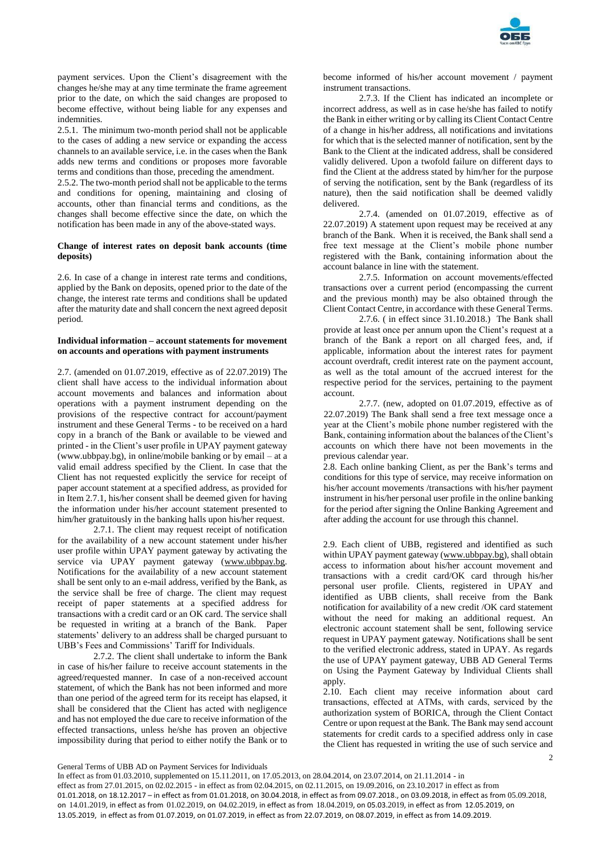

payment services. Upon the Client's disagreement with the changes he/she may at any time terminate the frame agreement prior to the date, on which the said changes are proposed to become effective, without being liable for any expenses and indemnities.

2.5.1. The minimum two-month period shall not be applicable to the cases of adding a new service or expanding the access channels to an available service, i.e. in the cases when the Bank adds new terms and conditions or proposes more favorable terms and conditions than those, preceding the amendment.

2.5.2. The two-month period shall not be applicable to the terms and conditions for opening, maintaining and closing of accounts, other than financial terms and conditions, as the changes shall become effective since the date, on which the notification has been made in any of the above-stated ways.

## **Change of interest rates on deposit bank accounts (time deposits)**

2.6. In case of a change in interest rate terms and conditions, applied by the Bank on deposits, opened prior to the date of the change, the interest rate terms and conditions shall be updated after the maturity date and shall concern the next agreed deposit period.

### **Individual information – account statements for movement on accounts and operations with payment instruments**

2.7. (amended on 01.07.2019, effective as of 22.07.2019) The client shall have access to the individual information about account movements and balances and information about operations with a payment instrument depending on the provisions of the respective contract for account/payment instrument and these General Terms - to be received on a hard copy in a branch of the Bank or available to be viewed and printed - in the Client's user profile in UPAY payment gateway (www.ubbpay.bg), in online/mobile banking or by email – at a valid email address specified by the Client. In case that the Client has not requested explicitly the service for receipt of paper account statement at a specified address, as provided for in Item 2.7.1, his/her consent shall be deemed given for having the information under his/her account statement presented to him/her gratuitously in the banking halls upon his/her request.

2.7.1. The client may request receipt of notification for the availability of a new account statement under his/her user profile within UPAY payment gateway by activating the service via UPAY payment gateway (www.ubbpay.bg. Notifications for the availability of a new account statement shall be sent only to an e-mail address, verified by the Bank, as the service shall be free of charge. The client may request receipt of paper statements at a specified address for transactions with a credit card or an OK card. The service shall be requested in writing at a branch of the Bank. Paper statements' delivery to an address shall be charged pursuant to UBB's Fees and Commissions' Tariff for Individuals.

2.7.2. The client shall undertake to inform the Bank in case of his/her failure to receive account statements in the agreed/requested manner. In case of a non-received account statement, of which the Bank has not been informed and more than one period of the agreed term for its receipt has elapsed, it shall be considered that the Client has acted with negligence and has not employed the due care to receive information of the effected transactions, unless he/she has proven an objective impossibility during that period to either notify the Bank or to

become informed of his/her account movement / payment instrument transactions.

2.7.3. If the Client has indicated an incomplete or incorrect address, as well as in case he/she has failed to notify the Bank in either writing or by calling its Client Contact Centre of a change in his/her address, all notifications and invitations for which that is the selected manner of notification, sent by the Bank to the Client at the indicated address, shall be considered validly delivered. Upon a twofold failure on different days to find the Client at the address stated by him/her for the purpose of serving the notification, sent by the Bank (regardless of its nature), then the said notification shall be deemed validly delivered.

2.7.4. (amended on 01.07.2019, effective as of 22.07.2019) A statement upon request may be received at any branch of the Bank. When it is received, the Bank shall send a free text message at the Client's mobile phone number registered with the Bank, containing information about the account balance in line with the statement.

2.7.5. Information on account movements/effected transactions over a current period (encompassing the current and the previous month) may be also obtained through the Client Contact Centre, in accordance with these General Terms.

2.7.6. ( in effect since 31.10.2018.) The Bank shall provide at least once per annum upon the Client's request at a branch of the Bank a report on all charged fees, and, if applicable, information about the interest rates for payment account overdraft, credit interest rate on the payment account, as well as the total amount of the accrued interest for the respective period for the services, pertaining to the payment account.

2.7.7. (new, adopted on 01.07.2019, effective as of 22.07.2019) The Bank shall send a free text message once a year at the Client's mobile phone number registered with the Bank, containing information about the balances of the Client's accounts on which there have not been movements in the previous calendar year.

2.8. Each online banking Client, as per the Bank's terms and conditions for this type of service, may receive information on his/her account movements /transactions with his/her payment instrument in his/her personal user profile in the online banking for the period after signing the Online Banking Agreement and after adding the account for use through this channel.

2.9. Each client of UBB, registered and identified as such within UPAY payment gateway [\(www.ubbpay.bg\)](http://www.ubbpay.bg/), shall obtain access to information about his/her account movement and transactions with a credit card/OK card through his/her personal user profile. Clients, registered in UPAY and identified as UBB clients, shall receive from the Bank notification for availability of a new credit /OK card statement without the need for making an additional request. An electronic account statement shall be sent, following service request in UPAY payment gateway. Notifications shall be sent to the verified electronic address, stated in UPAY. As regards the use of UPAY payment gateway, UBB AD General Terms on Using the Payment Gateway by Individual Clients shall apply.

2 2.10. Each client may receive information about card transactions, effected at АТМs, with cards, serviced by the authorization system of BORICA, through the Client Contact Centre or upon request at the Bank. The Bank may send account statements for credit cards to a specified address only in case the Client has requested in writing the use of such service and

## General Terms of UBB AD on Payment Services for Individuals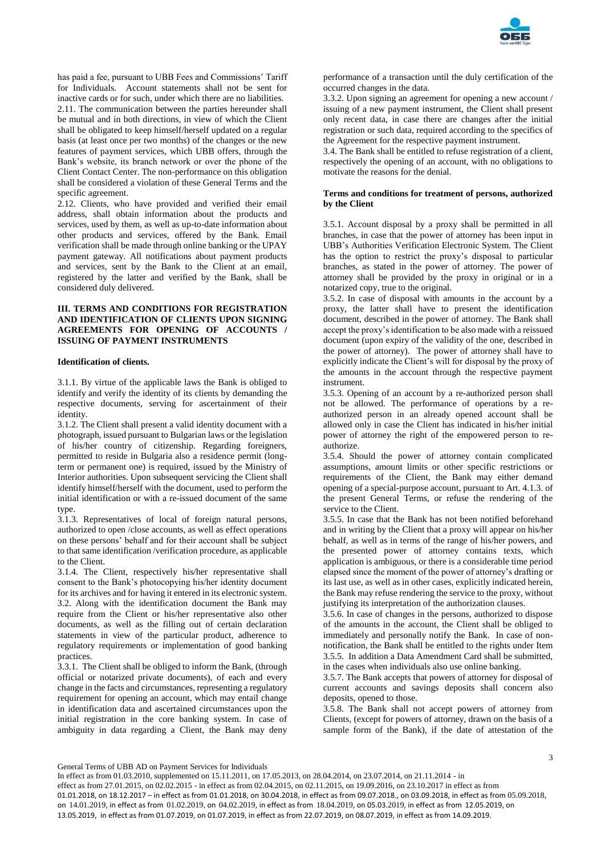

has paid a fee, pursuant to UBB Fees and Commissions' Tariff for Individuals. Account statements shall not be sent for inactive cards or for such, under which there are no liabilities. 2.11. The communication between the parties hereunder shall be mutual and in both directions, in view of which the Client shall be obligated to keep himself/herself updated on a regular basis (at least once per two months) of the changes or the new features of payment services, which UBB offers, through the Bank's website, its branch network or over the phone of the Client Contact Center. The non-performance on this obligation shall be considered a violation of these General Terms and the specific agreement.

2.12. Clients, who have provided and verified their email address, shall obtain information about the products and services, used by them, as well as up-to-date information about other products and services, offered by the Bank. Email verification shall be made through online banking or the UPAY payment gateway. All notifications about payment products and services, sent by the Bank to the Client at an email, registered by the latter and verified by the Bank, shall be considered duly delivered.

## **III. TERMS AND CONDITIONS FOR REGISTRATION AND IDENTIFICATION OF CLIENTS UPON SIGNING AGREEMENTS FOR OPENING OF ACCOUNTS / ISSUING OF PAYMENT INSTRUMENTS**

### **Identification of clients.**

3.1.1. By virtue of the applicable laws the Bank is obliged to identify and verify the identity of its clients by demanding the respective documents, serving for ascertainment of their identity.

3.1.2. The Client shall present a valid identity document with a photograph, issued pursuant to Bulgarian laws or the legislation of his/her country of citizenship. Regarding foreigners, permitted to reside in Bulgaria also a residence permit (longterm or permanent one) is required, issued by the Ministry of Interior authorities. Upon subsequent servicing the Client shall identify himself/herself with the document, used to perform the initial identification or with a re-issued document of the same type.

3.1.3. Representatives of local of foreign natural persons, authorized to open /close accounts, as well as effect operations on these persons' behalf and for their account shall be subject to that same identification /verification procedure, as applicable to the Client.

3.1.4. The Client, respectively his/her representative shall consent to the Bank's photocopying his/her identity document for its archives and for having it entered in its electronic system. 3.2. Along with the identification document the Bank may require from the Client or his/her representative also other documents, as well as the filling out of certain declaration statements in view of the particular product, adherence to regulatory requirements or implementation of good banking practices.

3.3.1. The Client shall be obliged to inform the Bank, (through official or notarized private documents), of each and every change in the facts and circumstances, representing a regulatory requirement for opening an account, which may entail change in identification data and ascertained circumstances upon the initial registration in the core banking system. In case of ambiguity in data regarding a Client, the Bank may deny

performance of a transaction until the duly certification of the occurred changes in the data.

3.3.2. Upon signing an agreement for opening a new account / issuing of a new payment instrument, the Client shall present only recent data, in case there are changes after the initial registration or such data, required according to the specifics of the Agreement for the respective payment instrument.

3.4. The Bank shall be entitled to refuse registration of a client, respectively the opening of an account, with no obligations to motivate the reasons for the denial.

### **Terms and conditions for treatment of persons, authorized by the Client**

3.5.1. Account disposal by a proxy shall be permitted in all branches, in case that the power of attorney has been input in UBB's Authorities Verification Electronic System. The Client has the option to restrict the proxy's disposal to particular branches, as stated in the power of attorney. The power of attorney shall be provided by the proxy in original or in a notarized copy, true to the original.

3.5.2. In case of disposal with amounts in the account by a proxy, the latter shall have to present the identification document, described in the power of attorney. The Bank shall accept the proxy's identification to be also made with a reissued document (upon expiry of the validity of the one, described in the power of attorney). The power of attorney shall have to explicitly indicate the Client's will for disposal by the proxy of the amounts in the account through the respective payment instrument.

3.5.3. Opening of an account by a re-authorized person shall not be allowed. The performance of operations by a reauthorized person in an already opened account shall be allowed only in case the Client has indicated in his/her initial power of attorney the right of the empowered person to reauthorize.

3.5.4. Should the power of attorney contain complicated assumptions, amount limits or other specific restrictions or requirements of the Client, the Bank may either demand opening of a special-purpose account, pursuant to Art. 4.1.3. of the present General Terms, or refuse the rendering of the service to the Client.

3.5.5. In case that the Bank has not been notified beforehand and in writing by the Client that a proxy will appear on his/her behalf, as well as in terms of the range of his/her powers, and the presented power of attorney contains texts, which application is ambiguous, or there is a considerable time period elapsed since the moment of the power of attorney's drafting or its last use, as well as in other cases, explicitly indicated herein, the Bank may refuse rendering the service to the proxy, without justifying its interpretation of the authorization clauses.

3.5.6. In case of changes in the persons, authorized to dispose of the amounts in the account, the Client shall be obliged to immediately and personally notify the Bank. In case of nonnotification, the Bank shall be entitled to the rights under Item 3.5.5. In addition a Data Amendment Card shall be submitted, in the cases when individuals also use online banking.

3.5.7. The Bank accepts that powers of attorney for disposal of current accounts and savings deposits shall concern also deposits, opened to those.

3.5.8. The Bank shall not accept powers of attorney from Clients, (except for powers of attorney, drawn on the basis of a sample form of the Bank), if the date of attestation of the

General Terms of UBB AD on Payment Services for Individuals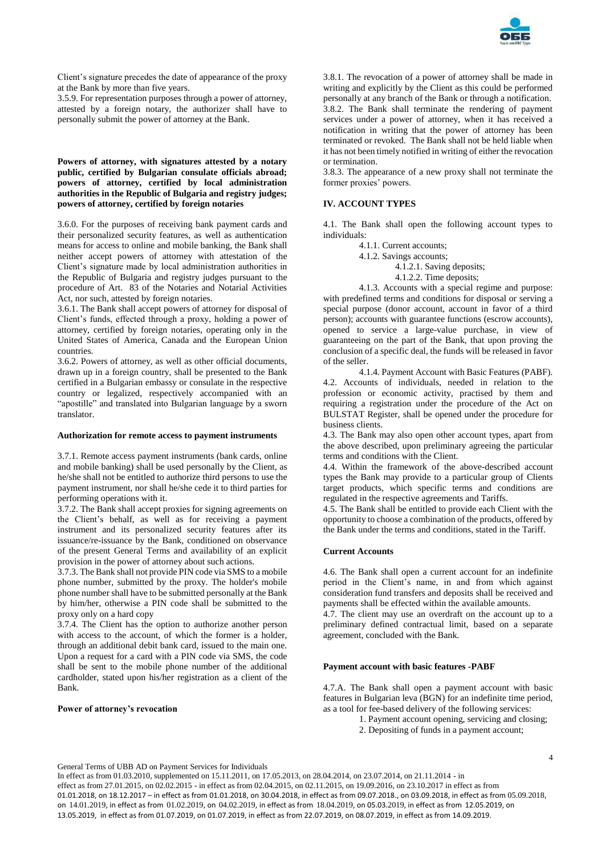

Client's signature precedes the date of appearance of the proxy at the Bank by more than five years.

3.5.9. For representation purposes through a power of attorney, attested by a foreign notary, the authorizer shall have to personally submit the power of attorney at the Bank.

## **Powers of attorney, with signatures attested by a notary public, certified by Bulgarian consulate officials abroad; powers of attorney, certified by local administration authorities in the Republic of Bulgaria and registry judges; powers of attorney, certified by foreign notaries**

3.6.0. For the purposes of receiving bank payment cards and their personalized security features, as well as authentication means for access to online and mobile banking, the Bank shall neither accept powers of attorney with attestation of the Client's signature made by local administration authorities in the Republic of Bulgaria and registry judges pursuant to the procedure of Art. 83 of the Notaries and Notarial Activities Act, nor such, attested by foreign notaries.

3.6.1. The Bank shall accept powers of attorney for disposal of Client's funds, effected through a proxy, holding a power of attorney, certified by foreign notaries, operating only in the United States of America, Canada and the European Union countries.

3.6.2. Powers of attorney, as well as other official documents, drawn up in a foreign country, shall be presented to the Bank certified in a Bulgarian embassy or consulate in the respective country or legalized, respectively accompanied with an "apostille" and translated into Bulgarian language by a sworn translator.

### **Authorization for remote access to payment instruments**

3.7.1. Remote access payment instruments (bank cards, online and mobile banking) shall be used personally by the Client, as he/she shall not be entitled to authorize third persons to use the payment instrument, nor shall he/she cede it to third parties for performing operations with it.

3.7.2. The Bank shall accept proxies for signing agreements on the Client's behalf, as well as for receiving a payment instrument and its personalized security features after its issuance/re-issuance by the Bank, conditioned on observance of the present General Terms and availability of an explicit provision in the power of attorney about such actions.

3.7.3. The Bank shall not provide PIN code via SMS to a mobile phone number, submitted by the proxy. The holder's mobile phone number shall have to be submitted personally at the Bank by him/her, otherwise a PIN code shall be submitted to the proxy only on a hard copy

3.7.4. The Client has the option to authorize another person with access to the account, of which the former is a holder, through an additional debit bank card, issued to the main one. Upon a request for a card with a PIN code via SMS, the code shall be sent to the mobile phone number of the additional cardholder, stated upon his/her registration as a client of the Bank.

### **Power of attorney's revocation**

3.8.1. The revocation of a power of attorney shall be made in writing and explicitly by the Client as this could be performed personally at any branch of the Bank or through a notification. 3.8.2. The Bank shall terminate the rendering of payment services under a power of attorney, when it has received a notification in writing that the power of attorney has been terminated or revoked. The Bank shall not be held liable when it has not been timely notified in writing of either the revocation or termination.

3.8.3. The appearance of a new proxy shall not terminate the former proxies' powers.

## **IV. ACCOUNT TYPES**

4.1. The Bank shall open the following account types to individuals:

- 4.1.1. Current accounts;
- 4.1.2. Savings accounts;
	- 4.1.2.1. Saving deposits;
	- 4.1.2.2. Time deposits;

4.1.3. Accounts with a special regime and purpose: with predefined terms and conditions for disposal or serving a special purpose (donor account, account in favor of a third person); accounts with guarantee functions (escrow accounts), opened to service a large-value purchase, in view of guaranteeing on the part of the Bank, that upon proving the conclusion of a specific deal, the funds will be released in favor of the seller.

4.1.4. Payment Account with Basic Features (PABF). 4.2. Accounts of individuals, needed in relation to the profession or economic activity, practised by them and requiring a registration under the procedure of the Act on BULSTAT Register, shall be opened under the procedure for business clients.

4.3. The Bank may also open other account types, apart from the above described, upon preliminary agreeing the particular terms and conditions with the Client.

4.4. Within the framework of the above-described account types the Bank may provide to a particular group of Clients target products, which specific terms and conditions are regulated in the respective agreements and Tariffs.

4.5. The Bank shall be entitled to provide each Client with the opportunity to choose a combination of the products, offered by the Bank under the terms and conditions, stated in the Tariff.

### **Current Accounts**

4.6. The Bank shall open a current account for an indefinite period in the Client's name, in and from which against consideration fund transfers and deposits shall be received and payments shall be effected within the available amounts.

4.7. The client may use an overdraft on the account up to a preliminary defined contractual limit, based on a separate agreement, concluded with the Bank.

#### **Payment account with basic features -PABF**

4.7.A. The Bank shall open a payment account with basic features in Bulgarian leva (BGN) for an indefinite time period, as a tool for fee-based delivery of the following services:

- 1. Payment account opening, servicing and closing;
- 2. Depositing of funds in a payment account;

General Terms of UBB AD on Payment Services for Individuals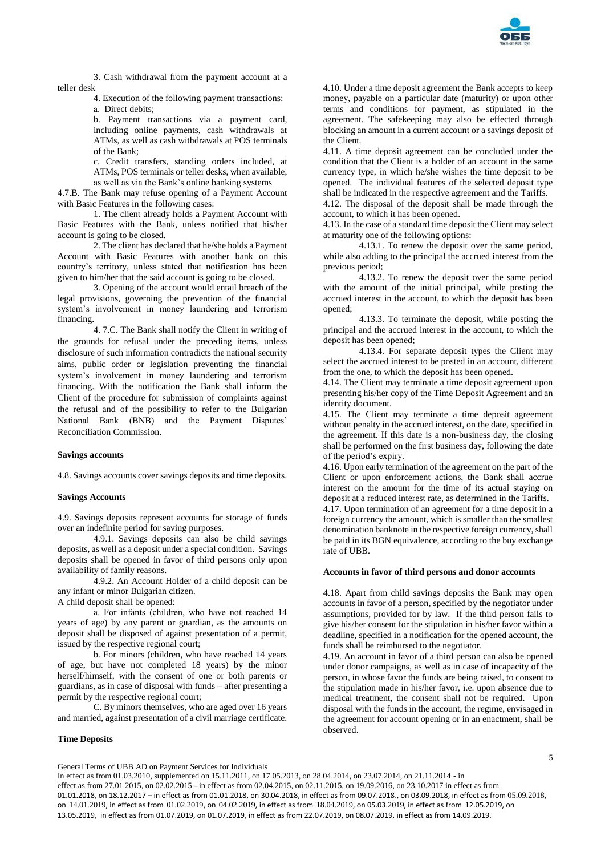

3. Cash withdrawal from the payment account at a teller desk

4. Execution of the following payment transactions:

а. Direct debits;

b. Payment transactions via a payment card, including online payments, cash withdrawals at ATMs, as well as cash withdrawals at POS terminals of the Bank;

c. Credit transfers, standing orders included, at ATMs, POS terminals or teller desks, when available, as well as via the Bank's online banking systems

4.7.B. The Bank may refuse opening of a Payment Account with Basic Features in the following cases:

1. The client already holds a Payment Account with Basic Features with the Bank, unless notified that his/her account is going to be closed.

2. The client has declared that he/she holds a Payment Account with Basic Features with another bank on this country's territory, unless stated that notification has been given to him/her that the said account is going to be closed.

3. Opening of the account would entail breach of the legal provisions, governing the prevention of the financial system's involvement in money laundering and terrorism financing.

4. 7.C. The Bank shall notify the Client in writing of the grounds for refusal under the preceding items, unless disclosure of such information contradicts the national security aims, public order or legislation preventing the financial system's involvement in money laundering and terrorism financing. With the notification the Bank shall inform the Client of the procedure for submission of complaints against the refusal and of the possibility to refer to the Bulgarian National Bank (BNB) and the Payment Disputes' Reconciliation Commission.

### **Savings accounts**

4.8. Savings accounts cover savings deposits and time deposits.

### **Savings Accounts**

4.9. Savings deposits represent accounts for storage of funds over an indefinite period for saving purposes.

4.9.1. Savings deposits can also be child savings deposits, as well as a deposit under a special condition. Savings deposits shall be opened in favor of third persons only upon availability of family reasons.

4.9.2. An Account Holder of a child deposit can be any infant or minor Bulgarian citizen.

A child deposit shall be opened:

а. For infants (children, who have not reached 14 years of age) by any parent or guardian, as the amounts on deposit shall be disposed of against presentation of a permit, issued by the respective regional court;

b. For minors (children, who have reached 14 years of age, but have not completed 18 years) by the minor herself/himself, with the consent of one or both parents or guardians, as in case of disposal with funds – after presenting a permit by the respective regional court;

C. By minors themselves, who are aged over 16 years and married, against presentation of a civil marriage certificate.

### **Time Deposits**

4.10. Under a time deposit agreement the Bank accepts to keep money, payable on a particular date (maturity) or upon other terms and conditions for payment, as stipulated in the agreement. The safekeeping may also be effected through blocking an amount in a current account or a savings deposit of the Client.

4.11. A time deposit agreement can be concluded under the condition that the Client is a holder of an account in the same currency type, in which he/she wishes the time deposit to be opened. The individual features of the selected deposit type shall be indicated in the respective agreement and the Tariffs.

4.12. The disposal of the deposit shall be made through the account, to which it has been opened.

4.13. In the case of a standard time deposit the Client may select at maturity one of the following options:

4.13.1. To renew the deposit over the same period, while also adding to the principal the accrued interest from the previous period;

4.13.2. To renew the deposit over the same period with the amount of the initial principal, while posting the accrued interest in the account, to which the deposit has been opened;

4.13.3. To terminate the deposit, while posting the principal and the accrued interest in the account, to which the deposit has been opened;

4.13.4. For separate deposit types the Client may select the accrued interest to be posted in an account, different from the one, to which the deposit has been opened.

4.14. The Client may terminate a time deposit agreement upon presenting his/her copy of the Time Deposit Agreement and an identity document.

4.15. The Client may terminate a time deposit agreement without penalty in the accrued interest, on the date, specified in the agreement. If this date is a non-business day, the closing shall be performed on the first business day, following the date of the period's expiry.

4.16. Upon early termination of the agreement on the part of the Client or upon enforcement actions, the Bank shall accrue interest on the amount for the time of its actual staying on deposit at a reduced interest rate, as determined in the Tariffs. 4.17. Upon termination of an agreement for a time deposit in a foreign currency the amount, which is smaller than the smallest denomination banknote in the respective foreign currency, shall

be paid in its BGN equivalence, according to the buy exchange rate of UBB.

### **Accounts in favor of third persons and donor accounts**

4.18. Apart from child savings deposits the Bank may open accounts in favor of a person, specified by the negotiator under assumptions, provided for by law. If the third person fails to give his/her consent for the stipulation in his/her favor within a deadline, specified in a notification for the opened account, the funds shall be reimbursed to the negotiator.

4.19. An account in favor of a third person can also be opened under donor campaigns, as well as in case of incapacity of the person, in whose favor the funds are being raised, to consent to the stipulation made in his/her favor, i.e. upon absence due to medical treatment, the consent shall not be required. Upon disposal with the funds in the account, the regime, envisaged in the agreement for account opening or in an enactment, shall be observed.

General Terms of UBB AD on Payment Services for Individuals

5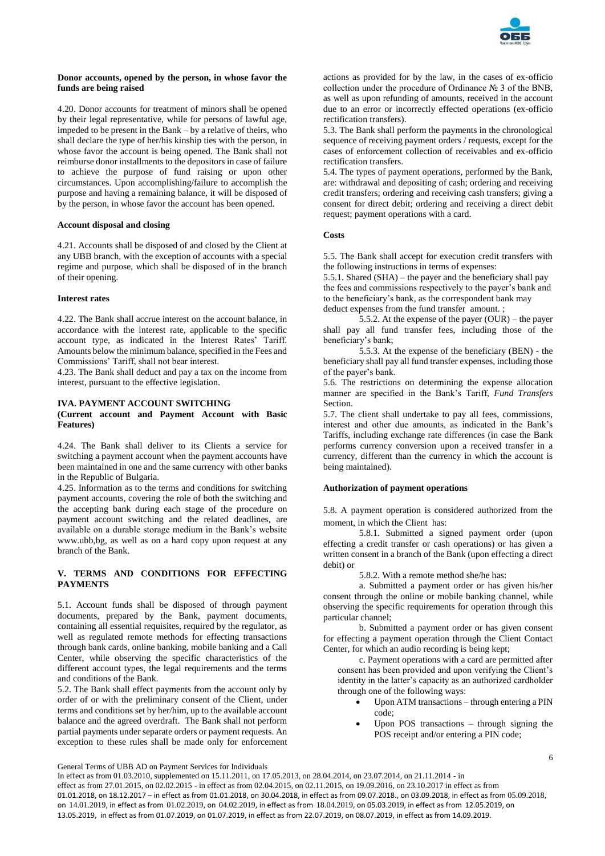

## **Donor accounts, opened by the person, in whose favor the funds are being raised**

4.20. Donor accounts for treatment of minors shall be opened by their legal representative, while for persons of lawful age, impeded to be present in the Bank – by a relative of theirs, who shall declare the type of her/his kinship ties with the person, in whose favor the account is being opened. The Bank shall not reimburse donor installments to the depositors in case of failure to achieve the purpose of fund raising or upon other circumstances. Upon accomplishing/failure to accomplish the purpose and having a remaining balance, it will be disposed of by the person, in whose favor the account has been opened.

## **Account disposal and closing**

4.21. Accounts shall be disposed of and closed by the Client at any UBB branch, with the exception of accounts with a special regime and purpose, which shall be disposed of in the branch of their opening.

## **Interest rates**

4.22. The Bank shall accrue interest on the account balance, in accordance with the interest rate, applicable to the specific account type, as indicated in the Interest Rates' Tariff. Amounts below the minimum balance, specified in the Fees and Commissions' Tariff, shall not bear interest.

4.23. The Bank shall deduct and pay a tax on the income from interest, pursuant to the effective legislation.

### **IVA. PAYMENT ACCOUNT SWITCHING**

### **(Current account and Payment Account with Basic Features)**

4.24. The Bank shall deliver to its Clients a service for switching a payment account when the payment accounts have been maintained in one and the same currency with other banks in the Republic of Bulgaria.

4.25. Information as to the terms and conditions for switching payment accounts, covering the role of both the switching and the accepting bank during each stage of the procedure on payment account switching and the related deadlines, are available on a durable storage medium in the Bank's website www.ubb,bg, as well as on a hard copy upon request at any branch of the Bank.

## **V. TERMS AND CONDITIONS FOR EFFECTING PAYMENTS**

5.1. Account funds shall be disposed of through payment documents, prepared by the Bank, payment documents, containing all essential requisites, required by the regulator, as well as regulated remote methods for effecting transactions through bank cards, online banking, mobile banking and a Call Center, while observing the specific characteristics of the different account types, the legal requirements and the terms and conditions of the Bank.

5.2. The Bank shall effect payments from the account only by order of or with the preliminary consent of the Client, under terms and conditions set by her/him, up to the available account balance and the agreed overdraft. The Bank shall not perform partial payments under separate orders or payment requests. An exception to these rules shall be made only for enforcement

actions as provided for by the law, in the cases of ex-officio collection under the procedure of Ordinance № 3 of the BNB, as well as upon refunding of amounts, received in the account due to an error or incorrectly effected operations (ex-officio rectification transfers).

5.3. The Bank shall perform the payments in the chronological sequence of receiving payment orders / requests, except for the cases of enforcement collection of receivables and ex-officio rectification transfers.

5.4. The types of payment operations, performed by the Bank, are: withdrawal and depositing of cash; ordering and receiving credit transfers; ordering and receiving cash transfers; giving a consent for direct debit; ordering and receiving a direct debit request; payment operations with a card.

## **Costs**

5.5. The Bank shall accept for execution credit transfers with the following instructions in terms of expenses:

5.5.1. Shared (SHA) – the payer and the beneficiary shall pay the fees and commissions respectively to the payer's bank and to the beneficiary's bank, as the correspondent bank may deduct expenses from the fund transfer amount. ;

5.5.2. At the expense of the payer (OUR) – the payer shall pay all fund transfer fees, including those of the beneficiary's bank;

5.5.3. At the expense of the beneficiary (BEN) - the beneficiary shall pay all fund transfer expenses, including those of the payer's bank.

5.6. The restrictions on determining the expense allocation manner are specified in the Bank's Tariff, *Fund Transfers* Section.

5.7. The client shall undertake to pay all fees, commissions, interest and other due amounts, as indicated in the Bank's Tariffs, including exchange rate differences (in case the Bank performs currency conversion upon a received transfer in a currency, different than the currency in which the account is being maintained).

## **Authorization of payment operations**

5.8. A payment operation is considered authorized from the moment, in which the Client has:

5.8.1. Submitted a signed payment order (upon effecting a credit transfer or cash operations) or has given a written consent in a branch of the Bank (upon effecting a direct debit) or

5.8.2. With a remote method she/he has:

a. Submitted a payment order or has given his/her consent through the online or mobile banking channel, while observing the specific requirements for operation through this particular channel;

b. Submitted a payment order or has given consent for effecting a payment operation through the Client Contact Center, for which an audio recording is being kept;

c. Payment operations with a card are permitted after consent has been provided and upon verifying the Client's identity in the latter's capacity as an authorized cardholder through one of the following ways:

- Upon ATM transactions through entering a PIN code;
- Upon POS transactions through signing the POS receipt and/or entering a PIN code;

General Terms of UBB AD on Payment Services for Individuals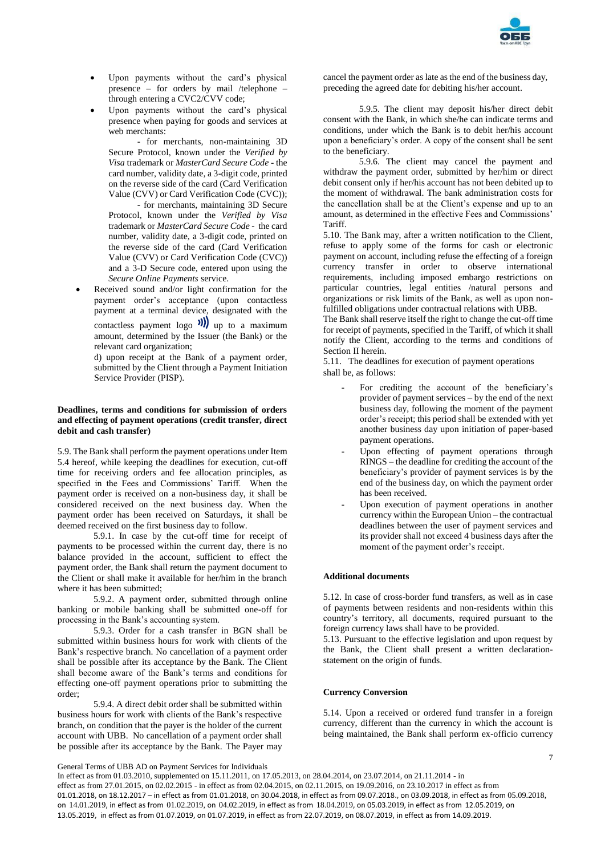

- Upon payments without the card's physical presence – for orders by mail /telephone – through entering a CVC2/CVV code;
- Upon payments without the card's physical presence when paying for goods and services at web merchants:

- for merchants, non-maintaining 3D Secure Protocol, known under the *Verified by Visa* trademark or *MasterCard Secure Code* - the card number, validity date, a 3-digit code, printed on the reverse side of the card (Card Verification Value (CVV) or Card Verification Code (CVC));

- for merchants, maintaining 3D Secure Protocol, known under the *Verified by Visa* trademark or *MasterCard Secure Code* - the card number, validity date, a 3-digit code, printed on the reverse side of the card (Card Verification Value (CVV) or Card Verification Code (CVC)) and a 3-D Secure code, entered upon using the *Secure Online Payments* service.

 Received sound and/or light confirmation for the payment order's acceptance (upon contactless payment at a terminal device, designated with the contactless payment logo  $\sum_{n=1}^{\infty}$  up to a maximum amount, determined by the Issuer (the Bank) or the relevant card organization;

d) upon receipt at the Bank of a payment order, submitted by the Client through a Payment Initiation Service Provider (PISP).

### **Deadlines, terms and conditions for submission of orders and effecting of payment operations (credit transfer, direct debit and cash transfer)**

5.9. The Bank shall perform the payment operations under Item 5.4 hereof, while keeping the deadlines for execution, cut-off time for receiving orders and fee allocation principles, as specified in the Fees and Commissions' Tariff. When the payment order is received on a non-business day, it shall be considered received on the next business day. When the payment order has been received on Saturdays, it shall be deemed received on the first business day to follow.

5.9.1. In case by the cut-off time for receipt of payments to be processed within the current day, there is no balance provided in the account, sufficient to effect the payment order, the Bank shall return the payment document to the Client or shall make it available for her/him in the branch where it has been submitted;

5.9.2. A payment order, submitted through online banking or mobile banking shall be submitted one-off for processing in the Bank's accounting system.

5.9.3. Order for a cash transfer in BGN shall be submitted within business hours for work with clients of the Bank's respective branch. No cancellation of a payment order shall be possible after its acceptance by the Bank. The Client shall become aware of the Bank's terms and conditions for effecting one-off payment operations prior to submitting the order;

5.9.4. A direct debit order shall be submitted within business hours for work with clients of the Bank's respective branch, on condition that the payer is the holder of the current account with UBB. No cancellation of a payment order shall be possible after its acceptance by the Bank. The Payer may cancel the payment order as late as the end of the business day, preceding the agreed date for debiting his/her account.

5.9.5. The client may deposit his/her direct debit consent with the Bank, in which she/he can indicate terms and conditions, under which the Bank is to debit her/his account upon a beneficiary's order. A copy of the consent shall be sent to the beneficiary.

5.9.6. The client may cancel the payment and withdraw the payment order, submitted by her/him or direct debit consent only if her/his account has not been debited up to the moment of withdrawal. The bank administration costs for the cancellation shall be at the Client's expense and up to an amount, as determined in the effective Fees and Commissions' Tariff.

5.10. The Bank may, after a written notification to the Client, refuse to apply some of the forms for cash or electronic payment on account, including refuse the effecting of a foreign currency transfer in order to observe international requirements, including imposed embargo restrictions on particular countries, legal entities /natural persons and organizations or risk limits of the Bank, as well as upon nonfulfilled obligations under contractual relations with UBB.

The Bank shall reserve itself the right to change the cut-off time for receipt of payments, specified in the Tariff, of which it shall notify the Client, according to the terms and conditions of Section II herein.

5.11. The deadlines for execution of payment operations shall be, as follows:

- For crediting the account of the beneficiary's provider of payment services – by the end of the next business day, following the moment of the payment order's receipt; this period shall be extended with yet another business day upon initiation of paper-based payment operations.
- Upon effecting of payment operations through RINGS – the deadline for crediting the account of the beneficiary's provider of payment services is by the end of the business day, on which the payment order has been received.
- Upon execution of payment operations in another currency within the European Union – the contractual deadlines between the user of payment services and its provider shall not exceed 4 business days after the moment of the payment order's receipt.

## **Additional documents**

5.12. In case of cross-border fund transfers, as well as in case of payments between residents and non-residents within this country's territory, all documents, required pursuant to the foreign currency laws shall have to be provided.

5.13. Pursuant to the effective legislation and upon request by the Bank, the Client shall present a written declarationstatement on the origin of funds.

### **Currency Conversion**

5.14. Upon a received or ordered fund transfer in a foreign currency, different than the currency in which the account is being maintained, the Bank shall perform ex-officio currency

General Terms of UBB AD on Payment Services for Individuals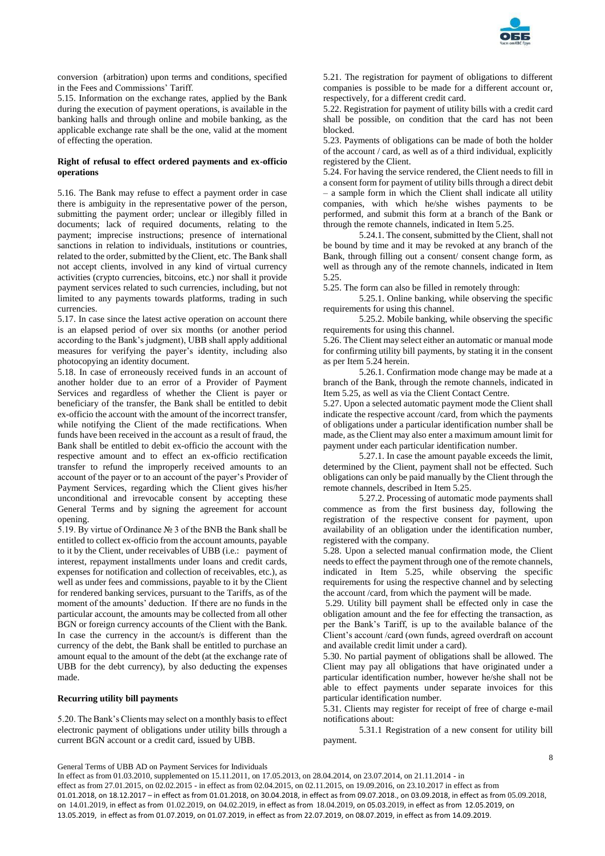

conversion (arbitration) upon terms and conditions, specified in the Fees and Commissions' Tariff.

5.15. Information on the exchange rates, applied by the Bank during the execution of payment operations, is available in the banking halls and through online and mobile banking, as the applicable exchange rate shall be the one, valid at the moment of effecting the operation.

### **Right of refusal to effect ordered payments and ex-officio operations**

5.16. The Bank may refuse to effect a payment order in case there is ambiguity in the representative power of the person, submitting the payment order; unclear or illegibly filled in documents; lack of required documents, relating to the payment; imprecise instructions; presence of international sanctions in relation to individuals, institutions or countries, related to the order, submitted by the Client, etc. The Bank shall not accept clients, involved in any kind of virtual currency activities (crypto currencies, bitcoins, etc.) nor shall it provide payment services related to such currencies, including, but not limited to any payments towards platforms, trading in such currencies.

5.17. In case since the latest active operation on account there is an elapsed period of over six months (or another period according to the Bank's judgment), UBB shall apply additional measures for verifying the payer's identity, including also photocopying an identity document.

5.18. In case of erroneously received funds in an account of another holder due to an error of a Provider of Payment Services and regardless of whether the Client is payer or beneficiary of the transfer, the Bank shall be entitled to debit ex-officio the account with the amount of the incorrect transfer, while notifying the Client of the made rectifications. When funds have been received in the account as a result of fraud, the Bank shall be entitled to debit ex-officio the account with the respective amount and to effect an ex-officio rectification transfer to refund the improperly received amounts to an account of the payer or to an account of the payer's Provider of Payment Services, regarding which the Client gives his/her unconditional and irrevocable consent by accepting these General Terms and by signing the agreement for account opening.

5.19. By virtue of Ordinance № 3 of the BNB the Bank shall be entitled to collect ex-officio from the account amounts, payable to it by the Client, under receivables of UBB (i.e.: payment of interest, repayment installments under loans and credit cards, expenses for notification and collection of receivables, etc.), as well as under fees and commissions, payable to it by the Client for rendered banking services, pursuant to the Tariffs, as of the moment of the amounts' deduction. If there are no funds in the particular account, the amounts may be collected from all other BGN or foreign currency accounts of the Client with the Bank. In case the currency in the account/s is different than the currency of the debt, the Bank shall be entitled to purchase an amount equal to the amount of the debt (at the exchange rate of UBB for the debt currency), by also deducting the expenses made.

### **Recurring utility bill payments**

5.20. The Bank's Clients may select on a monthly basis to effect electronic payment of obligations under utility bills through a current BGN account or a credit card, issued by UBB.

5.21. The registration for payment of obligations to different companies is possible to be made for a different account or, respectively, for a different credit card.

5.22. Registration for payment of utility bills with a credit card shall be possible, on condition that the card has not been blocked.

5.23. Payments of obligations can be made of both the holder of the account / card, as well as of a third individual, explicitly registered by the Client.

5.24. For having the service rendered, the Client needs to fill in a consent form for payment of utility bills through a direct debit – a sample form in which the Client shall indicate all utility companies, with which he/she wishes payments to be performed, and submit this form at a branch of the Bank or through the remote channels, indicated in Item 5.25.

5.24.1. The consent, submitted by the Client, shall not be bound by time and it may be revoked at any branch of the Bank, through filling out a consent/ consent change form, as well as through any of the remote channels, indicated in Item 5.25.

5.25. The form can also be filled in remotely through:

5.25.1. Online banking, while observing the specific requirements for using this channel.

5.25.2. Mobile banking, while observing the specific requirements for using this channel.

5.26. The Client may select either an automatic or manual mode for confirming utility bill payments, by stating it in the consent as per Item 5.24 herein.

5.26.1. Confirmation mode change may be made at a branch of the Bank, through the remote channels, indicated in Item 5.25, as well as via the Client Contact Centre.

5.27. Upon a selected automatic payment mode the Client shall indicate the respective account /card, from which the payments of obligations under a particular identification number shall be made, as the Client may also enter a maximum amount limit for payment under each particular identification number.

5.27.1. In case the amount payable exceeds the limit, determined by the Client, payment shall not be effected. Such obligations can only be paid manually by the Client through the remote channels, described in Item 5.25.

5.27.2. Processing of automatic mode payments shall commence as from the first business day, following the registration of the respective consent for payment, upon availability of an obligation under the identification number, registered with the company.

5.28. Upon a selected manual confirmation mode, the Client needs to effect the payment through one of the remote channels, indicated in Item 5.25, while observing the specific requirements for using the respective channel and by selecting the account /card, from which the payment will be made.

5.29. Utility bill payment shall be effected only in case the obligation amount and the fee for effecting the transaction, as per the Bank's Tariff, is up to the available balance of the Client's account /card (own funds, agreed overdraft on account and available credit limit under a card).

5.30. No partial payment of obligations shall be allowed. The Client may pay all obligations that have originated under a particular identification number, however he/she shall not be able to effect payments under separate invoices for this particular identification number.

5.31. Clients may register for receipt of free of charge e-mail notifications about:

5.31.1 Registration of a new consent for utility bill payment.

## General Terms of UBB AD on Payment Services for Individuals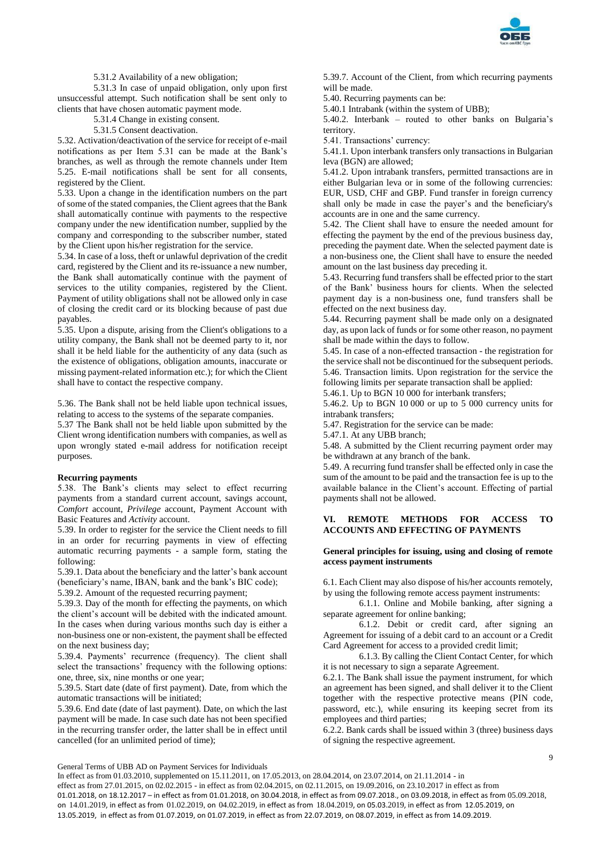

5.31.2 Availability of a new obligation;

5.31.3 In case of unpaid obligation, only upon first unsuccessful attempt. Such notification shall be sent only to clients that have chosen automatic payment mode.

5.31.4 Change in existing consent.

5.31.5 Consent deactivation.

5.32. Activation/deactivation of the service for receipt of e-mail notifications as per Item 5.31 can be made at the Bank's branches, as well as through the remote channels under Item 5.25. E-mail notifications shall be sent for all consents, registered by the Client.

5.33. Upon a change in the identification numbers on the part of some of the stated companies, the Client agrees that the Bank shall automatically continue with payments to the respective company under the new identification number, supplied by the company and corresponding to the subscriber number, stated by the Client upon his/her registration for the service.

5.34. In case of a loss, theft or unlawful deprivation of the credit card, registered by the Client and its re-issuance a new number, the Bank shall automatically continue with the payment of services to the utility companies, registered by the Client. Payment of utility obligations shall not be allowed only in case of closing the credit card or its blocking because of past due payables.

5.35. Upon a dispute, arising from the Client's obligations to a utility company, the Bank shall not be deemed party to it, nor shall it be held liable for the authenticity of any data (such as the existence of obligations, obligation amounts, inaccurate or missing payment-related information etc.); for which the Client shall have to contact the respective company.

5.36. The Bank shall not be held liable upon technical issues, relating to access to the systems of the separate companies.

5.37 The Bank shall not be held liable upon submitted by the Client wrong identification numbers with companies, as well as upon wrongly stated e-mail address for notification receipt purposes.

### **Recurring payments**

5.38. The Bank's clients may select to effect recurring payments from a standard current account, savings account, *Comfort* account, *Privilege* account, Payment Account with Basic Features and *Activity* account.

5.39. In order to register for the service the Client needs to fill in an order for recurring payments in view of effecting automatic recurring payments - a sample form, stating the following:

5.39.1. Data about the beneficiary and the latter's bank account (beneficiary's name, IBAN, bank and the bank's BIC code);

5.39.2. Amount of the requested recurring payment;

5.39.3. Day of the month for effecting the payments, on which the client's account will be debited with the indicated amount. In the cases when during various months such day is either a non-business one or non-existent, the payment shall be effected on the next business day;

5.39.4. Payments' recurrence (frequency). The client shall select the transactions' frequency with the following options: one, three, six, nine months or one year;

5.39.5. Start date (date of first payment). Date, from which the automatic transactions will be initiated;

5.39.6. End date (date of last payment). Date, on which the last payment will be made. In case such date has not been specified in the recurring transfer order, the latter shall be in effect until cancelled (for an unlimited period of time);

5.39.7. Account of the Client, from which recurring payments will be made.

5.40. Recurring payments can be:

5.40.1 Intrabank (within the system of UBB);

5.40.2. Interbank – routed to other banks on Bulgaria's territory.

5.41. Transactions' currency:

5.41.1. Upon interbank transfers only transactions in Bulgarian leva (BGN) are allowed;

5.41.2. Upon intrabank transfers, permitted transactions are in either Bulgarian leva or in some of the following currencies: EUR, USD, CHF and GBP. Fund transfer in foreign currency shall only be made in case the payer's and the beneficiary's accounts are in one and the same currency.

5.42. The Client shall have to ensure the needed amount for effecting the payment by the end of the previous business day, preceding the payment date. When the selected payment date is a non-business one, the Client shall have to ensure the needed amount on the last business day preceding it.

5.43. Recurring fund transfers shall be effected prior to the start of the Bank' business hours for clients. When the selected payment day is a non-business one, fund transfers shall be effected on the next business day.

5.44. Recurring payment shall be made only on a designated day, as upon lack of funds or for some other reason, no payment shall be made within the days to follow.

5.45. In case of a non-effected transaction - the registration for the service shall not be discontinued for the subsequent periods. 5.46. Transaction limits. Upon registration for the service the following limits per separate transaction shall be applied:

5.46.1. Up to BGN 10 000 for interbank transfers;

5.46.2. Up to BGN 10 000 or up to 5 000 currency units for intrabank transfers;

5.47. Registration for the service can be made:

5.47.1. At any UBB branch;

5.48. A submitted by the Client recurring payment order may be withdrawn at any branch of the bank.

5.49. A recurring fund transfer shall be effected only in case the sum of the amount to be paid and the transaction fee is up to the available balance in the Client's account. Effecting of partial payments shall not be allowed.

## **VI. REMOTE METHODS FOR ACCESS TO ACCOUNTS AND EFFECTING OF PAYMENTS**

## **General principles for issuing, using and closing of remote access payment instruments**

6.1. Each Client may also dispose of his/her accounts remotely, by using the following remote access payment instruments:

6.1.1. Online and Mobile banking, after signing a separate agreement for online banking;

6.1.2. Debit or credit card, after signing an Agreement for issuing of a debit card to an account or a Credit Card Agreement for access to a provided credit limit;

6.1.3. By calling the Client Contact Center, for which it is not necessary to sign a separate Agreement.

6.2.1. The Bank shall issue the payment instrument, for which an agreement has been signed, and shall deliver it to the Client together with the respective protective means (PIN code, password, etc.), while ensuring its keeping secret from its employees and third parties;

6.2.2. Bank cards shall be issued within 3 (three) business days of signing the respective agreement.

General Terms of UBB AD on Payment Services for Individuals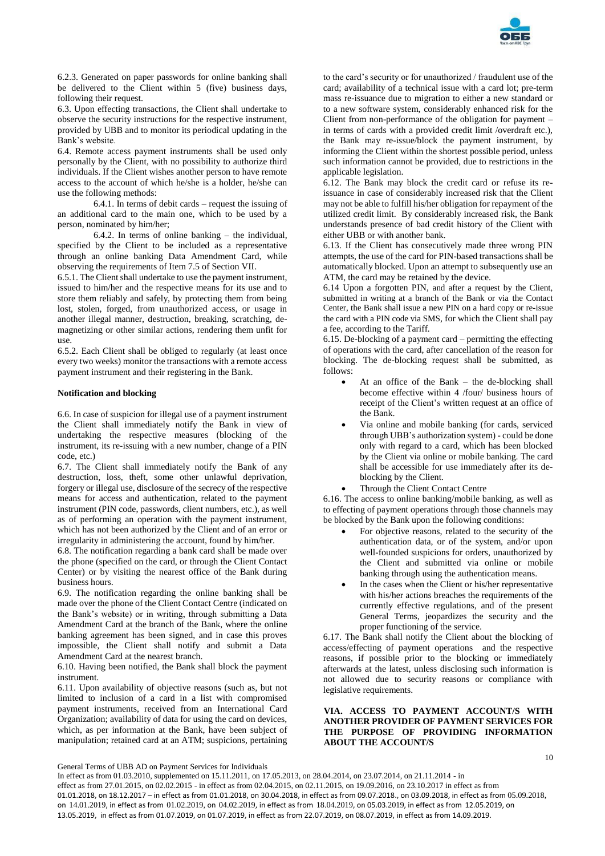

6.2.3. Generated on paper passwords for online banking shall be delivered to the Client within 5 (five) business days, following their request.

6.3. Upon effecting transactions, the Client shall undertake to observe the security instructions for the respective instrument, provided by UBB and to monitor its periodical updating in the Bank's website.

6.4. Remote access payment instruments shall be used only personally by the Client, with no possibility to authorize third individuals. If the Client wishes another person to have remote access to the account of which he/she is a holder, he/she can use the following methods:

6.4.1. In terms of debit cards – request the issuing of an additional card to the main one, which to be used by a person, nominated by him/her;

6.4.2. In terms of online banking – the individual, specified by the Client to be included as a representative through an online banking Data Amendment Card, while observing the requirements of Item 7.5 of Section VII.

6.5.1. The Client shall undertake to use the payment instrument, issued to him/her and the respective means for its use and to store them reliably and safely, by protecting them from being lost, stolen, forged, from unauthorized access, or usage in another illegal manner, destruction, breaking, scratching, demagnetizing or other similar actions, rendering them unfit for use.

6.5.2. Each Client shall be obliged to regularly (at least once every two weeks) monitor the transactions with a remote access payment instrument and their registering in the Bank.

## **Notification and blocking**

6.6. In case of suspicion for illegal use of a payment instrument the Client shall immediately notify the Bank in view of undertaking the respective measures (blocking of the instrument, its re-issuing with a new number, change of a PIN code, etc.)

6.7. The Client shall immediately notify the Bank of any destruction, loss, theft, some other unlawful deprivation, forgery or illegal use, disclosure of the secrecy of the respective means for access and authentication, related to the payment instrument (PIN code, passwords, client numbers, etc.), as well as of performing an operation with the payment instrument, which has not been authorized by the Client and of an error or irregularity in administering the account, found by him/her.

6.8. The notification regarding a bank card shall be made over the phone (specified on the card, or through the Client Contact Center) or by visiting the nearest office of the Bank during business hours.

6.9. The notification regarding the online banking shall be made over the phone of the Client Contact Centre (indicated on the Bank's website) or in writing, through submitting a Data Amendment Card at the branch of the Bank, where the online banking agreement has been signed, and in case this proves impossible, the Client shall notify and submit a Data Amendment Card at the nearest branch.

6.10. Having been notified, the Bank shall block the payment instrument.

6.11. Upon availability of objective reasons (such as, but not limited to inclusion of a card in a list with compromised payment instruments, received from an International Card Organization; availability of data for using the card on devices, which, as per information at the Bank, have been subject of manipulation; retained card at an ATM; suspicions, pertaining

to the card's security or for unauthorized / fraudulent use of the card; availability of a technical issue with a card lot; pre-term mass re-issuance due to migration to either a new standard or to a new software system, considerably enhanced risk for the Client from non-performance of the obligation for payment – in terms of cards with a provided credit limit /overdraft etc.), the Bank may re-issue/block the payment instrument, by informing the Client within the shortest possible period, unless such information cannot be provided, due to restrictions in the applicable legislation.

6.12. The Bank may block the credit card or refuse its reissuance in case of considerably increased risk that the Client may not be able to fulfill his/her obligation for repayment of the utilized credit limit. By considerably increased risk, the Bank understands presence of bad credit history of the Client with either UBB or with another bank.

6.13. If the Client has consecutively made three wrong PIN attempts, the use of the card for PIN-based transactions shall be automatically blocked. Upon an attempt to subsequently use an ATM, the card may be retained by the device.

6.14 Upon a forgotten PIN, and after a request by the Client, submitted in writing at a branch of the Bank or via the Contact Center, the Bank shall issue a new PIN on a hard copy or re-issue the card with a PIN code via SMS, for which the Client shall pay a fee, according to the Tariff.

6.15. De-blocking of a payment card – permitting the effecting of operations with the card, after cancellation of the reason for blocking. The de-blocking request shall be submitted, as follows:

- At an office of the Bank the de-blocking shall become effective within 4 /four/ business hours of receipt of the Client's written request at an office of the Bank.
- Via online and mobile banking (for cards, serviced through UBB's authorization system) - could be done only with regard to a card, which has been blocked by the Client via online or mobile banking. The card shall be accessible for use immediately after its deblocking by the Client.
- Through the Client Contact Centre

6.16. The access to online banking/mobile banking, as well as to effecting of payment operations through those channels may be blocked by the Bank upon the following conditions:

- For objective reasons, related to the security of the authentication data, or of the system, and/or upon well-founded suspicions for orders, unauthorized by the Client and submitted via online or mobile banking through using the authentication means.
- In the cases when the Client or his/her representative with his/her actions breaches the requirements of the currently effective regulations, and of the present General Terms, jeopardizes the security and the proper functioning of the service.

6.17. The Bank shall notify the Client about the blocking of access/effecting of payment operations and the respective reasons, if possible prior to the blocking or immediately afterwards at the latest, unless disclosing such information is not allowed due to security reasons or compliance with legislative requirements.

## **VIA. ACCESS TO PAYMENT ACCOUNT/S WITH ANOTHER PROVIDER OF PAYMENT SERVICES FOR THE PURPOSE OF PROVIDING INFORMATION ABOUT THE ACCOUNT/S**

General Terms of UBB AD on Payment Services for Individuals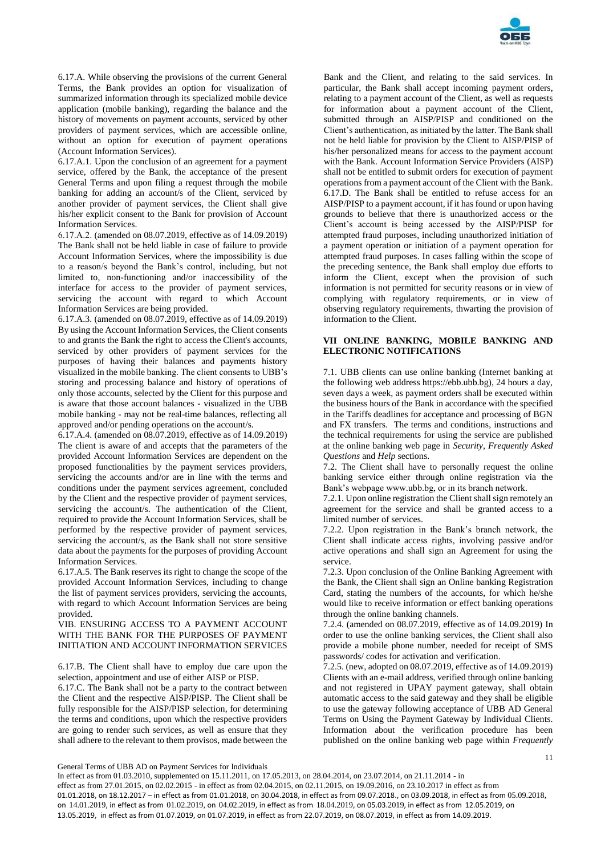

6.17.A. While observing the provisions of the current General Terms, the Bank provides an option for visualization of summarized information through its specialized mobile device application (mobile banking), regarding the balance and the history of movements on payment accounts, serviced by other providers of payment services, which are accessible online, without an option for execution of payment operations (Account Information Services).

6.17.A.1. Upon the conclusion of an agreement for a payment service, offered by the Bank, the acceptance of the present General Terms and upon filing a request through the mobile banking for adding an account/s of the Client, serviced by another provider of payment services, the Client shall give his/her explicit consent to the Bank for provision of Account Information Services.

6.17.А.2. (amended on 08.07.2019, effective as of 14.09.2019) The Bank shall not be held liable in case of failure to provide Account Information Services, where the impossibility is due to a reason/s beyond the Bank's control, including, but not limited to, non-functioning and/or inaccessibility of the interface for access to the provider of payment services, servicing the account with regard to which Account Information Services are being provided.

6.17.A.3. (amended on 08.07.2019, effective as of 14.09.2019) By using the Account Information Services, the Client consents to and grants the Bank the right to access the Client's accounts, serviced by other providers of payment services for the purposes of having their balances and payments history visualized in the mobile banking. The client consents to UBB's storing and processing balance and history of operations of only those accounts, selected by the Client for this purpose and is aware that those account balances - visualized in the UBB mobile banking - may not be real-time balances, reflecting all approved and/or pending operations on the account/s.

6.17.A.4. (amended on 08.07.2019, effective as of 14.09.2019) The client is aware of and accepts that the parameters of the provided Account Information Services are dependent on the proposed functionalities by the payment services providers, servicing the accounts and/or are in line with the terms and conditions under the payment services agreement, concluded by the Client and the respective provider of payment services, servicing the account/s. The authentication of the Client, required to provide the Account Information Services, shall be performed by the respective provider of payment services, servicing the account/s, as the Bank shall not store sensitive data about the payments for the purposes of providing Account Information Services.

6.17.A.5. The Bank reserves its right to change the scope of the provided Account Information Services, including to change the list of payment services providers, servicing the accounts, with regard to which Account Information Services are being provided.

VIB. ENSURING ACCESS TO A PAYMENT ACCOUNT WITH THE BANK FOR THE PURPOSES OF PAYMENT INITIATION AND ACCOUNT INFORMATION SERVICES

6.17.B. The Client shall have to employ due care upon the selection, appointment and use of either AISP or PISP.

6.17.C. The Bank shall not be a party to the contract between the Client and the respective AISP/PISP. The Client shall be fully responsible for the AISP/PISP selection, for determining the terms and conditions, upon which the respective providers are going to render such services, as well as ensure that they shall adhere to the relevant to them provisos, made between the

Bank and the Client, and relating to the said services. In particular, the Bank shall accept incoming payment orders, relating to a payment account of the Client, as well as requests for information about a payment account of the Client, submitted through an AISP/PISP and conditioned on the Client's authentication, as initiated by the latter. The Bank shall not be held liable for provision by the Client to AISP/PISP of his/her personalized means for access to the payment account with the Bank. Account Information Service Providers (AISP) shall not be entitled to submit orders for execution of payment operations from a payment account of the Client with the Bank. 6.17.D. The Bank shall be entitled to refuse access for an AISP/PISP to a payment account, if it has found or upon having grounds to believe that there is unauthorized access or the Client's account is being accessed by the AISP/PISP for attempted fraud purposes, including unauthorized initiation of a payment operation or initiation of a payment operation for attempted fraud purposes. In cases falling within the scope of the preceding sentence, the Bank shall employ due efforts to inform the Client, except when the provision of such information is not permitted for security reasons or in view of complying with regulatory requirements, or in view of observing regulatory requirements, thwarting the provision of information to the Client.

## **VII ONLINE BANKING, MOBILE BANKING AND ELECTRONIC NOTIFICATIONS**

7.1. UBB clients can use online banking (Internet banking at the following web address https://ebb.ubb.bg), 24 hours a day, seven days a week, as payment orders shall be executed within the business hours of the Bank in accordance with the specified in the Tariffs deadlines for acceptance and processing of BGN and FX transfers. The terms and conditions, instructions and the technical requirements for using the service are published at the online banking web page in *Security*, *Frequently Asked Questions* and *Help* sections.

7.2. The Client shall have to personally request the online banking service either through online registration via the Bank's webpage www.ubb.bg, or in its branch network.

7.2.1. Upon online registration the Client shall sign remotely an agreement for the service and shall be granted access to a limited number of services.

7.2.2. Upon registration in the Bank's branch network, the Client shall indicate access rights, involving passive and/or active operations and shall sign an Agreement for using the service.

7.2.3. Upon conclusion of the Online Banking Agreement with the Bank, the Client shall sign an Online banking Registration Card, stating the numbers of the accounts, for which he/she would like to receive information or effect banking operations through the online banking channels.

7.2.4. (amended on 08.07.2019, effective as of 14.09.2019) In order to use the online banking services, the Client shall also provide a mobile phone number, needed for receipt of SMS passwords/ codes for activation and verification.

7.2.5. (new, adopted on 08.07.2019, effective as of 14.09.2019) Clients with an e-mail address, verified through online banking and not registered in UPAY payment gateway, shall obtain automatic access to the said gateway and they shall be eligible to use the gateway following acceptance of UBB AD General Terms on Using the Payment Gateway by Individual Clients. Information about the verification procedure has been published on the online banking web page within *Frequently* 

11

General Terms of UBB AD on Payment Services for Individuals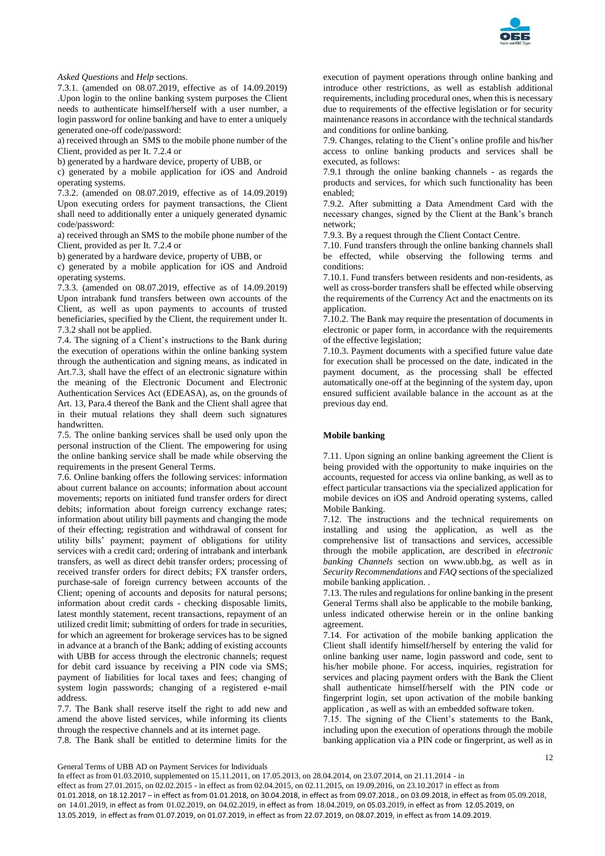

## *Asked Questions* and *Help* sections.

7.3.1. (amended on 08.07.2019, effective as of 14.09.2019) .Upon login to the online banking system purposes the Client needs to authenticate himself/herself with a user number, a login password for online banking and have to enter a uniquely generated one-off code/password:

a) received through an SMS to the mobile phone number of the Client, provided as per It. 7.2.4 or

b) generated by a hardware device, property of UBB, or

c) generated by a mobile application for iOS and Android operating systems.

7.3.2. (amended on 08.07.2019, effective as of 14.09.2019) Upon executing orders for payment transactions, the Client shall need to additionally enter a uniquely generated dynamic code/password:

a) received through an SMS to the mobile phone number of the Client, provided as per It. 7.2.4 or

b) generated by a hardware device, property of UBB, or

c) generated by a mobile application for iOS and Android operating systems.

7.3.3. (amended on 08.07.2019, effective as of 14.09.2019) Upon intrabank fund transfers between own accounts of the Client, as well as upon payments to accounts of trusted beneficiaries, specified by the Client, the requirement under It. 7.3.2 shall not be applied.

7.4. The signing of a Client's instructions to the Bank during the execution of operations within the online banking system through the authentication and signing means, as indicated in Art.7.3, shall have the effect of an electronic signature within the meaning of the Electronic Document and Electronic Authentication Services Act (EDEASA), as, on the grounds of Art. 13, Para.4 thereof the Bank and the Client shall agree that in their mutual relations they shall deem such signatures handwritten.

7.5. The online banking services shall be used only upon the personal instruction of the Client. The empowering for using the online banking service shall be made while observing the requirements in the present General Terms.

7.6. Online banking offers the following services: information about current balance on accounts; information about account movements; reports on initiated fund transfer orders for direct debits; information about foreign currency exchange rates; information about utility bill payments and changing the mode of their effecting; registration and withdrawal of consent for utility bills' payment; payment of obligations for utility services with a credit card; ordering of intrabank and interbank transfers, as well as direct debit transfer orders; processing of received transfer orders for direct debits; FX transfer orders, purchase-sale of foreign currency between accounts of the Client; opening of accounts and deposits for natural persons; information about credit cards - checking disposable limits, latest monthly statement, recent transactions, repayment of an utilized credit limit; submitting of orders for trade in securities, for which an agreement for brokerage services has to be signed in advance at a branch of the Bank; adding of existing accounts with UBB for access through the electronic channels; request for debit card issuance by receiving a PIN code via SMS; payment of liabilities for local taxes and fees; changing of system login passwords; changing of a registered e-mail address.

7.7. The Bank shall reserve itself the right to add new and amend the above listed services, while informing its clients through the respective channels and at its internet page.

7.8. The Bank shall be entitled to determine limits for the

execution of payment operations through online banking and introduce other restrictions, as well as establish additional requirements, including procedural ones, when this is necessary due to requirements of the effective legislation or for security maintenance reasons in accordance with the technical standards and conditions for online banking.

7.9. Changes, relating to the Client's online profile and his/her access to online banking products and services shall be executed, as follows:

7.9.1 through the online banking channels - as regards the products and services, for which such functionality has been enabled;

7.9.2. After submitting a Data Amendment Card with the necessary changes, signed by the Client at the Bank's branch network;

7.9.3. By a request through the Client Contact Centre.

7.10. Fund transfers through the online banking channels shall be effected, while observing the following terms and conditions:

7.10.1. Fund transfers between residents and non-residents, as well as cross-border transfers shall be effected while observing the requirements of the Currency Act and the enactments on its application.

7.10.2. The Bank may require the presentation of documents in electronic or paper form, in accordance with the requirements of the effective legislation;

7.10.3. Payment documents with a specified future value date for execution shall be processed on the date, indicated in the payment document, as the processing shall be effected automatically one-off at the beginning of the system day, upon ensured sufficient available balance in the account as at the previous day end.

## **Mobile banking**

7.11. Upon signing an online banking agreement the Client is being provided with the opportunity to make inquiries on the accounts, requested for access via online banking, as well as to effect particular transactions via the specialized application for mobile devices on iOS and Android operating systems, called Mobile Banking.

7.12. The instructions and the technical requirements on installing and using the application, as well as the comprehensive list of transactions and services, accessible through the mobile application, are described in *electronic banking Channels* section on www.ubb.bg, as well as in *Security Recommendations* and *FAQ* sections of the specialized mobile banking application. .

7.13. The rules and regulations for online banking in the present General Terms shall also be applicable to the mobile banking, unless indicated otherwise herein or in the online banking agreement.

7.14. For activation of the mobile banking application the Client shall identify himself/herself by entering the valid for online banking user name, login password and code, sent to his/her mobile phone. For access, inquiries, registration for services and placing payment orders with the Bank the Client shall authenticate himself/herself with the PIN code or fingerprint login, set upon activation of the mobile banking application , as well as with an embedded software token.

7.15. The signing of the Client's statements to the Bank, including upon the execution of operations through the mobile banking application via a PIN code or fingerprint, as well as in

12

General Terms of UBB AD on Payment Services for Individuals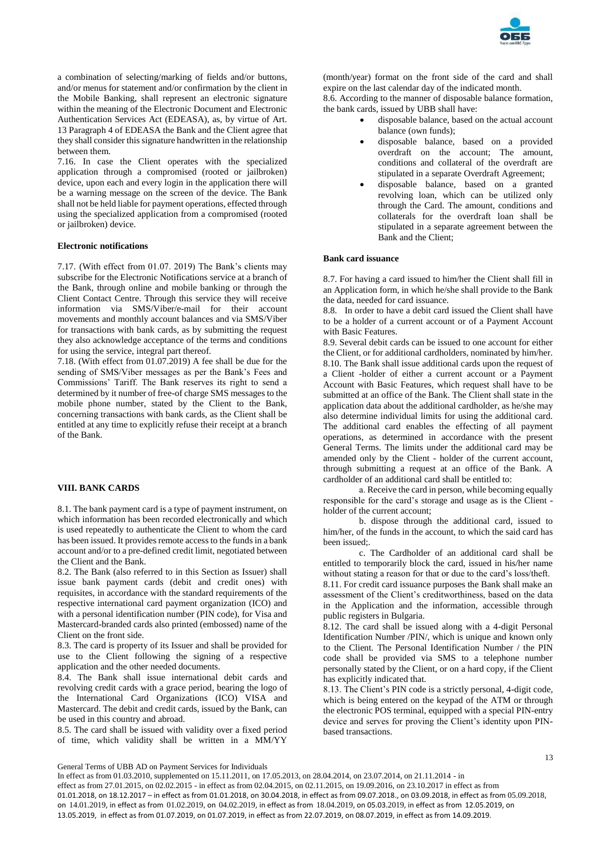

a combination of selecting/marking of fields and/or buttons, and/or menus for statement and/or confirmation by the client in the Mobile Banking, shall represent an electronic signature within the meaning of the Electronic Document and Electronic Authentication Services Act (EDEASA), as, by virtue of Art. 13 Paragraph 4 of EDEASA the Bank and the Client agree that they shall consider this signature handwritten in the relationship between them.

7.16. In case the Client operates with the specialized application through a compromised (rooted or jailbroken) device, upon each and every login in the application there will be a warning message on the screen of the device. The Bank shall not be held liable for payment operations, effected through using the specialized application from a compromised (rooted or jailbroken) device.

## **Electronic notifications**

7.17. (With effect from 01.07. 2019) The Bank's clients may subscribe for the Electronic Notifications service at a branch of the Bank, through online and mobile banking or through the Client Contact Centre. Through this service they will receive information via SMS/Viber/e-mail for their account movements and monthly account balances and via SMS/Viber for transactions with bank cards, as by submitting the request they also acknowledge acceptance of the terms and conditions for using the service, integral part thereof.

7.18. (With effect from 01.07.2019) A fee shall be due for the sending of SMS/Viber messages as per the Bank's Fees and Commissions' Tariff. The Bank reserves its right to send a determined by it number of free-of charge SMS messages to the mobile phone number, stated by the Client to the Bank, concerning transactions with bank cards, as the Client shall be entitled at any time to explicitly refuse their receipt at a branch of the Bank.

## **VIII. BANK CARDS**

8.1. The bank payment card is a type of payment instrument, on which information has been recorded electronically and which is used repeatedly to authenticate the Client to whom the card has been issued. It provides remote access to the funds in a bank account and/or to a pre-defined credit limit, negotiated between the Client and the Bank.

8.2. The Bank (also referred to in this Section as Issuer) shall issue bank payment cards (debit and credit ones) with requisites, in accordance with the standard requirements of the respective international card payment organization (ICO) and with a personal identification number (PIN code), for Visa and Mastercard-branded cards also printed (embossed) name of the Client on the front side.

8.3. The card is property of its Issuer and shall be provided for use to the Client following the signing of a respective application and the other needed documents.

8.4. The Bank shall issue international debit cards and revolving credit cards with a grace period, bearing the logo of the International Card Organizations (ICO) VISA and Mastercard. The debit and credit cards, issued by the Bank, can be used in this country and abroad.

8.5. The card shall be issued with validity over a fixed period of time, which validity shall be written in a MM/YY

(month/year) format on the front side of the card and shall expire on the last calendar day of the indicated month. 8.6. According to the manner of disposable balance formation,

the bank cards, issued by UBB shall have:

- disposable balance, based on the actual account balance (own funds);
- disposable balance, based on a provided overdraft on the account; The amount, conditions and collateral of the overdraft are stipulated in a separate Overdraft Agreement;
- disposable balance, based on a granted revolving loan, which can be utilized only through the Card. The amount, conditions and collaterals for the overdraft loan shall be stipulated in a separate agreement between the Bank and the Client;

### **Bank card issuance**

8.7. For having a card issued to him/her the Client shall fill in an Application form, in which he/she shall provide to the Bank the data, needed for card issuance.

8.8. In order to have a debit card issued the Client shall have to be a holder of a current account or of a Payment Account with Basic Features.

8.9. Several debit cards can be issued to one account for either the Client, or for additional cardholders, nominated by him/her. 8.10. The Bank shall issue additional cards upon the request of a Client -holder of either a current account or a Payment Account with Basic Features, which request shall have to be submitted at an office of the Bank. The Client shall state in the application data about the additional cardholder, as he/she may also determine individual limits for using the additional card. The additional card enables the effecting of all payment operations, as determined in accordance with the present General Terms. The limits under the additional card may be amended only by the Client - holder of the current account, through submitting a request at an office of the Bank. A cardholder of an additional card shall be entitled to:

а. Receive the card in person, while becoming equally responsible for the card's storage and usage as is the Client holder of the current account;

b. dispose through the additional card, issued to him/her, of the funds in the account, to which the said card has been issued;.

c. The Cardholder of an additional card shall be entitled to temporarily block the card, issued in his/her name without stating a reason for that or due to the card's loss/theft. 8.11. For credit card issuance purposes the Bank shall make an assessment of the Client's creditworthiness, based on the data in the Application and the information, accessible through public registers in Bulgaria.

8.12. The card shall be issued along with a 4-digit Personal Identification Number /PIN/, which is unique and known only to the Client. The Personal Identification Number / the PIN code shall be provided via SMS to a telephone number personally stated by the Client, or on a hard copy, if the Client has explicitly indicated that.

8.13. The Client's PIN code is a strictly personal, 4-digit code, which is being entered on the keypad of the ATM or through the electronic POS terminal, equipped with a special PIN-entry device and serves for proving the Client's identity upon PINbased transactions.

General Terms of UBB AD on Payment Services for Individuals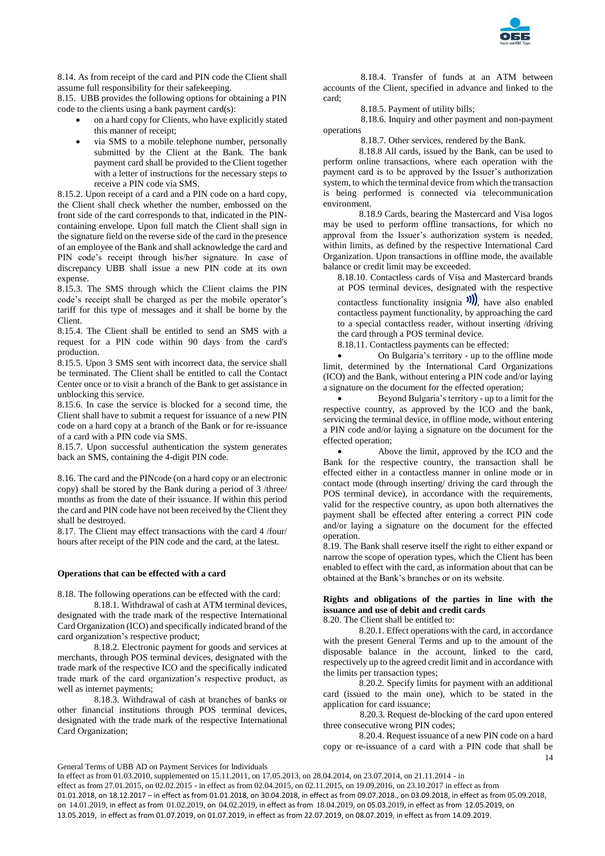

8.14. As from receipt of the card and PIN code the Client shall assume full responsibility for their safekeeping.

8.15. UBB provides the following options for obtaining a PIN code to the clients using a bank payment card(s):

- on a hard copy for Clients, who have explicitly stated this manner of receipt;
- via SMS to a mobile telephone number, personally submitted by the Client at the Bank. The bank payment card shall be provided to the Client together with a letter of instructions for the necessary steps to receive a PIN code via SMS.

8.15.2. Upon receipt of a card and a PIN code on a hard copy, the Client shall check whether the number, embossed on the front side of the card corresponds to that, indicated in the PINcontaining envelope. Upon full match the Client shall sign in the signature field on the reverse side of the card in the presence of an employee of the Bank and shall acknowledge the card and PIN code's receipt through his/her signature. In case of discrepancy UBB shall issue a new PIN code at its own expense.

8.15.3. The SMS through which the Client claims the PIN code's receipt shall be charged as per the mobile operator's tariff for this type of messages and it shall be borne by the Client.

8.15.4. The Client shall be entitled to send an SMS with a request for a PIN code within 90 days from the card's production.

8.15.5. Upon 3 SMS sent with incorrect data, the service shall be terminated. The Client shall be entitled to call the Contact Center once or to visit a branch of the Bank to get assistance in unblocking this service.

8.15.6. In case the service is blocked for a second time, the Client shall have to submit a request for issuance of a new PIN code on a hard copy at a branch of the Bank or for re-issuance of a card with a PIN code via SMS.

8.15.7. Upon successful authentication the system generates back an SMS, containing the 4-digit PIN code.

8.16. The card and the PINcode (on a hard copy or an electronic copy) shall be stored by the Bank during a period of 3 /three/ months as from the date of their issuance. If within this period the card and PIN code have not been received by the Client they shall be destroyed.

8.17. The Client may effect transactions with the card 4 /four/ hours after receipt of the PIN code and the card, at the latest.

### **Operations that can be effected with a card**

8.18. The following operations can be effected with the card:

8.18.1. Withdrawal of cash at ATM terminal devices, designated with the trade mark of the respective International Card Organization (ICO) and specifically indicated brand of the card organization's respective product;

8.18.2. Electronic payment for goods and services at merchants, through POS terminal devices, designated with the trade mark of the respective ICO and the specifically indicated trade mark of the card organization's respective product, as well as internet payments;

8.18.3. Withdrawal of cash at branches of banks or other financial institutions through POS terminal devices, designated with the trade mark of the respective International Card Organization;

8.18.4. Transfer of funds at an ATM between accounts of the Client, specified in advance and linked to the card;

8.18.5. Payment of utility bills;

8.18.6. Inquiry and other payment and non-payment operations

8.18.7. Other services, rendered by the Bank.

8.18.8 All cards, issued by the Bank, can be used to perform online transactions, where each operation with the payment card is to be approved by the Issuer's authorization system, to which the terminal device from which the transaction is being performed is connected via telecommunication environment.

8.18.9 Cards, bearing the Mastercard and Visa logos may be used to perform offline transactions, for which no approval from the Issuer's authorization system is needed, within limits, as defined by the respective International Card Organization. Upon transactions in offline mode, the available balance or credit limit may be exceeded.

8.18.10. Contactless cards of Visa and Mastercard brands at POS terminal devices, designated with the respective

contactless functionality insignia  $\mathcal{W}$ , have also enabled contactless payment functionality, by approaching the card to a special contactless reader, without inserting /driving the card through a POS terminal device.

8.18.11. Contactless payments can be effected:

 On Bulgaria's territory - up to the offline mode limit, determined by the International Card Organizations (ICO) and the Bank, without entering a PIN code and/or laying a signature on the document for the effected operation;

 Beyond Bulgaria's territory - up to a limit for the respective country, as approved by the ICO and the bank, servicing the terminal device, in offline mode, without entering a PIN code and/or laying a signature on the document for the effected operation;

 Above the limit, approved by the ICO and the Bank for the respective country, the transaction shall be effected either in a contactless manner in online mode or in contact mode (through inserting/ driving the card through the POS terminal device), in accordance with the requirements, valid for the respective country, as upon both alternatives the payment shall be effected after entering a correct PIN code and/or laying a signature on the document for the effected operation.

8.19. The Bank shall reserve itself the right to either expand or narrow the scope of operation types, which the Client has been enabled to effect with the card, as information about that can be obtained at the Bank's branches or on its website.

# **Rights and obligations of the parties in line with the issuance and use of debit and credit cards**

8.20. The Client shall be entitled to:

8.20.1. Effect operations with the card, in accordance with the present General Terms and up to the amount of the disposable balance in the account, linked to the card, respectively up to the agreed credit limit and in accordance with the limits per transaction types;

8.20.2. Specify limits for payment with an additional card (issued to the main one), which to be stated in the application for card issuance;

8.20.3. Request de-blocking of the card upon entered three consecutive wrong PIN codes;

14 8.20.4. Request issuance of a new PIN code on a hard copy or re-issuance of a card with a PIN code that shall be

General Terms of UBB AD on Payment Services for Individuals

In effect as from 01.03.2010, supplemented on 15.11.2011, on 17.05.2013, on 28.04.2014, on 23.07.2014, on 21.11.2014 - in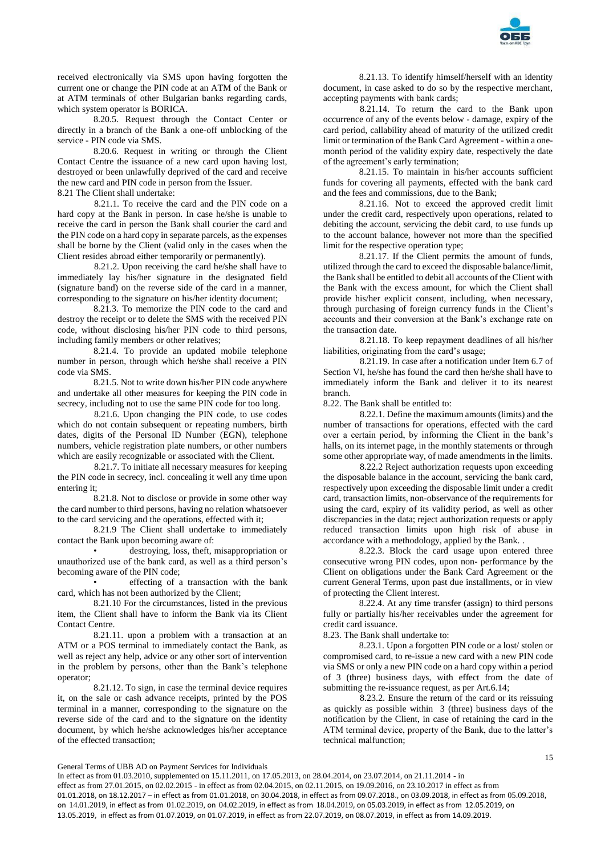

received electronically via SMS upon having forgotten the current one or change the PIN code at an ATM of the Bank or at ATM terminals of other Bulgarian banks regarding cards, which system operator is BORICA.

8.20.5. Request through the Contact Center or directly in a branch of the Bank a one-off unblocking of the service - PIN code via SMS.

8.20.6. Request in writing or through the Client Contact Centre the issuance of a new card upon having lost, destroyed or been unlawfully deprived of the card and receive the new card and PIN code in person from the Issuer.

8.21 The Client shall undertake:

8.21.1. To receive the card and the PIN code on a hard copy at the Bank in person. In case he/she is unable to receive the card in person the Bank shall courier the card and the PIN code on a hard copy in separate parcels, as the expenses shall be borne by the Client (valid only in the cases when the Client resides abroad either temporarily or permanently).

8.21.2. Upon receiving the card he/she shall have to immediately lay his/her signature in the designated field (signature band) on the reverse side of the card in a manner, corresponding to the signature on his/her identity document;

8.21.3. To memorize the PIN code to the card and destroy the receipt or to delete the SMS with the received PIN code, without disclosing his/her PIN code to third persons, including family members or other relatives;

8.21.4. To provide an updated mobile telephone number in person, through which he/she shall receive a PIN code via SMS.

8.21.5. Not to write down his/her PIN code anywhere and undertake all other measures for keeping the PIN code in secrecy, including not to use the same PIN code for too long.

8.21.6. Upon changing the PIN code, to use codes which do not contain subsequent or repeating numbers, birth dates, digits of the Personal ID Number (EGN), telephone numbers, vehicle registration plate numbers, or other numbers which are easily recognizable or associated with the Client.

8.21.7. To initiate all necessary measures for keeping the PIN code in secrecy, incl. concealing it well any time upon entering it;

8.21.8. Not to disclose or provide in some other way the card number to third persons, having no relation whatsoever to the card servicing and the operations, effected with it;

8.21.9 The Client shall undertake to immediately contact the Bank upon becoming aware of:

• destroying, loss, theft, misappropriation or unauthorized use of the bank card, as well as a third person's becoming aware of the PIN code;

• effecting of a transaction with the bank card, which has not been authorized by the Client;

8.21.10 For the circumstances, listed in the previous item, the Client shall have to inform the Bank via its Client Contact Centre.

8.21.11. upon a problem with a transaction at an ATM or a POS terminal to immediately contact the Bank, as well as reject any help, advice or any other sort of intervention in the problem by persons, other than the Bank's telephone operator;

8.21.12. To sign, in case the terminal device requires it, on the sale or cash advance receipts, printed by the POS terminal in a manner, corresponding to the signature on the reverse side of the card and to the signature on the identity document, by which he/she acknowledges his/her acceptance of the effected transaction;

8.21.13. To identify himself/herself with an identity document, in case asked to do so by the respective merchant, accepting payments with bank cards;

8.21.14. To return the card to the Bank upon occurrence of any of the events below - damage, expiry of the card period, callability ahead of maturity of the utilized credit limit or termination of the Bank Card Agreement - within a onemonth period of the validity expiry date, respectively the date of the agreement's early termination;

8.21.15. To maintain in his/her accounts sufficient funds for covering all payments, effected with the bank card and the fees and commissions, due to the Bank;

8.21.16. Not to exceed the approved credit limit under the credit card, respectively upon operations, related to debiting the account, servicing the debit card, to use funds up to the account balance, however not more than the specified limit for the respective operation type;

8.21.17. If the Client permits the amount of funds, utilized through the card to exceed the disposable balance/limit, the Bank shall be entitled to debit all accounts of the Client with the Bank with the excess amount, for which the Client shall provide his/her explicit consent, including, when necessary, through purchasing of foreign currency funds in the Client's accounts and their conversion at the Bank's exchange rate on the transaction date.

8.21.18. To keep repayment deadlines of all his/her liabilities, originating from the card's usage;

8.21.19. In case after a notification under Item 6.7 of Section VI, he/she has found the card then he/she shall have to immediately inform the Bank and deliver it to its nearest branch.

8.22. The Bank shall be entitled to:

8.22.1. Define the maximum amounts (limits) and the number of transactions for operations, effected with the card over a certain period, by informing the Client in the bank's halls, on its internet page, in the monthly statements or through some other appropriate way, of made amendments in the limits.

8.22.2 Reject authorization requests upon exceeding the disposable balance in the account, servicing the bank card, respectively upon exceeding the disposable limit under a credit card, transaction limits, non-observance of the requirements for using the card, expiry of its validity period, as well as other discrepancies in the data; reject authorization requests or apply reduced transaction limits upon high risk of abuse in accordance with a methodology, applied by the Bank. .

8.22.3. Block the card usage upon entered three consecutive wrong PIN codes, upon non- performance by the Client on obligations under the Bank Card Agreement or the current General Terms, upon past due installments, or in view of protecting the Client interest.

8.22.4. At any time transfer (assign) to third persons fully or partially his/her receivables under the agreement for credit card issuance.

8.23. The Bank shall undertake to:

8.23.1. Upon a forgotten PIN code or a lost/ stolen or compromised card, to re-issue a new card with a new PIN code via SMS or only a new PIN code on a hard copy within a period of 3 (three) business days, with effect from the date of submitting the re-issuance request, as per Art.6.14;

8.23.2. Ensure the return of the card or its reissuing as quickly as possible within 3 (three) business days of the notification by the Client, in case of retaining the card in the ATM terminal device, property of the Bank, due to the latter's technical malfunction;

General Terms of UBB AD on Payment Services for Individuals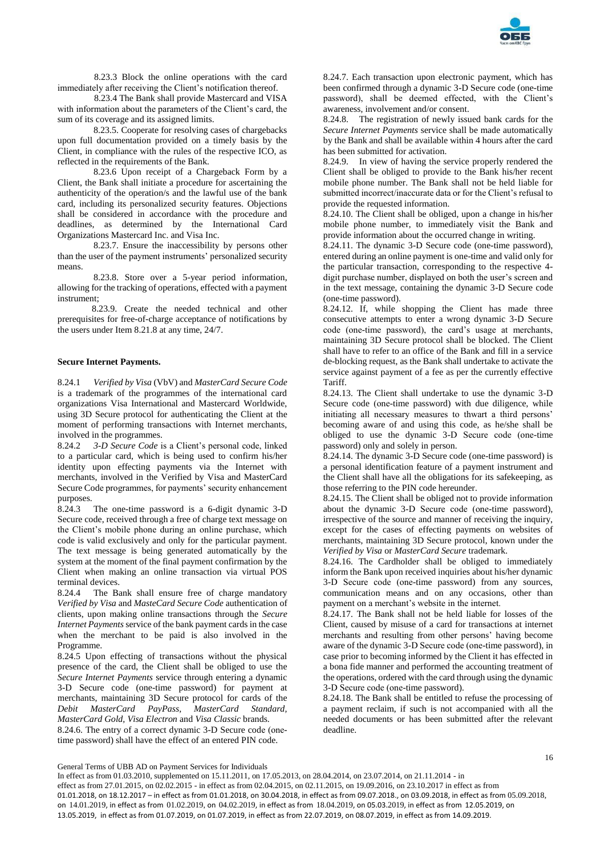

8.23.3 Block the online operations with the card immediately after receiving the Client's notification thereof.

8.23.4 The Bank shall provide Mastercard and VISA with information about the parameters of the Client's card, the sum of its coverage and its assigned limits.

8.23.5. Cooperate for resolving cases of chargebacks upon full documentation provided on a timely basis by the Client, in compliance with the rules of the respective ICO, as reflected in the requirements of the Bank.

8.23.6 Upon receipt of a Chargeback Form by a Client, the Bank shall initiate a procedure for ascertaining the authenticity of the operation/s and the lawful use of the bank card, including its personalized security features. Objections shall be considered in accordance with the procedure and deadlines, as determined by the International Card Organizations Mastercard Inc. and Visa Inc.

8.23.7. Ensure the inaccessibility by persons other than the user of the payment instruments' personalized security means.

8.23.8. Store over a 5-year period information, allowing for the tracking of operations, effected with a payment instrument;

 8.23.9. Create the needed technical and other prerequisites for free-of-charge acceptance of notifications by the users under Item 8.21.8 at any time, 24/7.

## **Secure Internet Payments.**

8.24.1 *Verified by Visa* (VbV) and *MasterCard Secure Code* is a trademark of the programmes of the international card organizations Visa International and Mastercard Worldwide, using 3D Secure protocol for authenticating the Client at the moment of performing transactions with Internet merchants, involved in the programmes.

8.24.2 *3-D Secure Code* is a Client's personal code, linked to a particular card, which is being used to confirm his/her identity upon effecting payments via the Internet with merchants, involved in the Verified by Visa and MasterCard Secure Code programmes, for payments' security enhancement purposes.

8.24.3 The one-time password is a 6-digit dynamic 3-D Secure code, received through a free of charge text message on the Client's mobile phone during an online purchase, which code is valid exclusively and only for the particular payment. The text message is being generated automatically by the system at the moment of the final payment confirmation by the Client when making an online transaction via virtual POS terminal devices.

8.24.4 The Bank shall ensure free of charge mandatory *Verified by Visa* and *MasteCard Secure Code* authentication of clients, upon making online transactions through the *Secure Internet Payments* service of the bank payment cards in the case when the merchant to be paid is also involved in the Programme.

8.24.5 Upon effecting of transactions without the physical presence of the card, the Client shall be obliged to use the *Secure Internet Payments* service through entering a dynamic 3-D Secure code (one-time password) for payment at merchants, maintaining 3D Secure protocol for cards of the *Debit MasterCard PayPass, MasterCard Standard, MasterCard Gold, Visa Electron* and *Visa Classic* brands. 8.24.6. The entry of a correct dynamic 3-D Secure code (оnetime password) shall have the effect of an entered PIN code.

8.24.7. Each transaction upon electronic payment, which has been confirmed through a dynamic 3-D Secure code (one-time password), shall be deemed effected, with the Client's awareness, involvement and/or consent.

8.24.8. The registration of newly issued bank cards for the *Secure Internet Payments* service shall be made automatically by the Bank and shall be available within 4 hours after the card has been submitted for activation.

8.24.9. In view of having the service properly rendered the Client shall be obliged to provide to the Bank his/her recent mobile phone number. The Bank shall not be held liable for submitted incorrect/inaccurate data or for the Client's refusal to provide the requested information.

8.24.10. The Client shall be obliged, upon a change in his/her mobile phone number, to immediately visit the Bank and provide information about the occurred change in writing.

8.24.11. The dynamic 3-D Secure code (one-time password), entered during an online payment is one-time and valid only for the particular transaction, corresponding to the respective 4 digit purchase number, displayed on both the user's screen and in the text message, containing the dynamic 3-D Secure code (one-time password).

8.24.12. If, while shopping the Client has made three consecutive attempts to enter a wrong dynamic 3-D Secure code (оne-time password), the card's usage at merchants, maintaining 3D Secure protocol shall be blocked. The Client shall have to refer to an office of the Bank and fill in a service de-blocking request, as the Bank shall undertake to activate the service against payment of a fee as per the currently effective Tariff.

8.24.13. The Client shall undertake to use the dynamic 3-D Secure code (one-time password) with due diligence, while initiating all necessary measures to thwart a third persons' becoming aware of and using this code, as he/she shall be obliged to use the dynamic 3-D Secure code (оne-time password) only and solely in person.

8.24.14. The dynamic 3-D Secure code (one-time password) is a personal identification feature of a payment instrument and the Client shall have all the obligations for its safekeeping, as those referring to the PIN code hereunder.

8.24.15. The Client shall be obliged not to provide information about the dynamic 3-D Secure code (оne-time password), irrespective of the source and manner of receiving the inquiry, except for the cases of effecting payments on websites of merchants, maintaining 3D Secure protocol, known under the *Verified by Visa* or *MasterCard Secure* trademark.

8.24.16. The Cardholder shall be obliged to immediately inform the Bank upon received inquiries about his/her dynamic 3-D Secure code (оne-time password) from any sources, communication means and on any occasions, other than payment on a merchant's website in the internet.

8.24.17. The Bank shall not be held liable for losses of the Client, caused by misuse of a card for transactions at internet merchants and resulting from other persons' having become aware of the dynamic 3-D Secure code (оne-time password), in case prior to becoming informed by the Client it has effected in a bona fide manner and performed the accounting treatment of the operations, ordered with the card through using the dynamic 3-D Secure code (оne-time password).

8.24.18. The Bank shall be entitled to refuse the processing of a payment reclaim, if such is not accompanied with all the needed documents or has been submitted after the relevant deadline.

General Terms of UBB AD on Payment Services for Individuals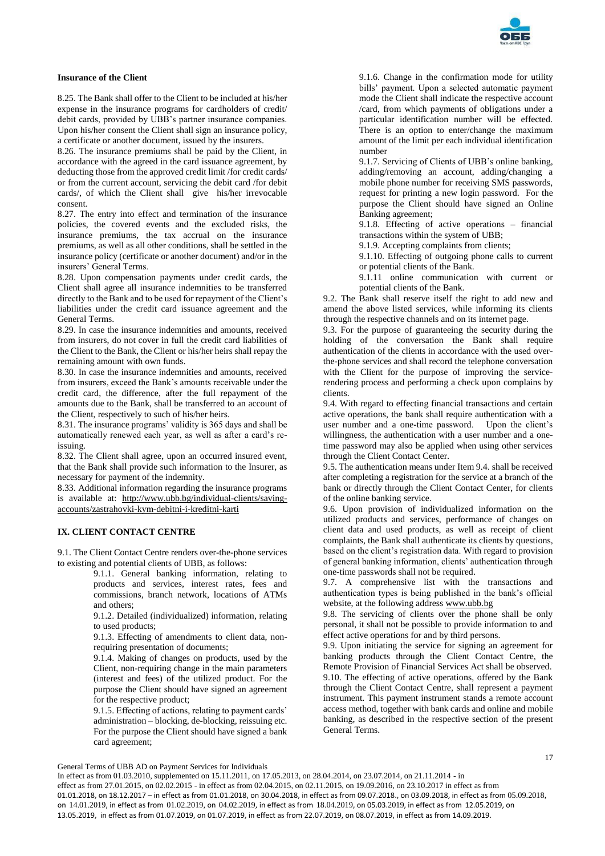

## **Insurance of the Client**

8.25. The Bank shall offer to the Client to be included at his/her expense in the insurance programs for cardholders of credit/ debit cards, provided by UBB's partner insurance companies. Upon his/her consent the Client shall sign an insurance policy, a certificate or another document, issued by the insurers.

8.26. The insurance premiums shall be paid by the Client, in accordance with the agreed in the card issuance agreement, by deducting those from the approved credit limit /for credit cards/ or from the current account, servicing the debit card /for debit cards/, of which the Client shall give his/her irrevocable consent.

8.27. The entry into effect and termination of the insurance policies, the covered events and the excluded risks, the insurance premiums, the tax accrual on the insurance premiums, as well as all other conditions, shall be settled in the insurance policy (certificate or another document) and/or in the insurers' General Terms.

8.28. Upon compensation payments under credit cards, the Client shall agree all insurance indemnities to be transferred directly to the Bank and to be used for repayment of the Client's liabilities under the credit card issuance agreement and the General Terms.

8.29. In case the insurance indemnities and amounts, received from insurers, do not cover in full the credit card liabilities of the Client to the Bank, the Client or his/her heirs shall repay the remaining amount with own funds.

8.30. In case the insurance indemnities and amounts, received from insurers, exceed the Bank's amounts receivable under the credit card, the difference, after the full repayment of the amounts due to the Bank, shall be transferred to an account of the Client, respectively to such of his/her heirs.

8.31. The insurance programs' validity is 365 days and shall be automatically renewed each year, as well as after a card's reissuing.

8.32. The Client shall agree, upon an occurred insured event, that the Bank shall provide such information to the Insurer, as necessary for payment of the indemnity.

8.33. Additional information regarding the insurance programs is available at: [http://www.ubb.bg/individual-clients/saving](http://www.ubb.bg/individual-clients/saving-accounts/zastrahovki-kym-debitni-i-kreditni-karti)[accounts/zastrahovki-kym-debitni-i-kreditni-karti](http://www.ubb.bg/individual-clients/saving-accounts/zastrahovki-kym-debitni-i-kreditni-karti)

## **IX. CLIENT CONTACT CENTRE**

9.1. The Client Contact Centre renders over-the-phone services to existing and potential clients of UBB, as follows:

> 9.1.1. General banking information, relating to products and services, interest rates, fees and commissions, branch network, locations of ATMs and others;

> 9.1.2. Detailed (individualized) information, relating to used products;

> 9.1.3. Effecting of amendments to client data, nonrequiring presentation of documents;

9.1.4. Making of changes on products, used by the Client, non-requiring change in the main parameters (interest and fees) of the utilized product. For the purpose the Client should have signed an agreement for the respective product;

9.1.5. Effecting of actions, relating to payment cards' administration – blocking, de-blocking, reissuing etc. For the purpose the Client should have signed a bank card agreement;

9.1.6. Change in the confirmation mode for utility bills' payment. Upon a selected automatic payment mode the Client shall indicate the respective account /card, from which payments of obligations under a particular identification number will be effected. There is an option to enter/change the maximum amount of the limit per each individual identification number

9.1.7. Servicing of Clients of UBB's online banking, adding/removing an account, adding/changing a mobile phone number for receiving SMS passwords, request for printing a new login password. For the purpose the Client should have signed an Online Banking agreement;

9.1.8. Effecting of active operations – financial transactions within the system of UBB;

9.1.9. Accepting complaints from clients;

9.1.10. Effecting of outgoing phone calls to current or potential clients of the Bank.

9.1.11 online communication with current or potential clients of the Bank.

9.2. The Bank shall reserve itself the right to add new and amend the above listed services, while informing its clients through the respective channels and on its internet page.

9.3. For the purpose of guaranteeing the security during the holding of the conversation the Bank shall require authentication of the clients in accordance with the used overthe-phone services and shall record the telephone conversation with the Client for the purpose of improving the servicerendering process and performing a check upon complains by clients.

9.4. With regard to effecting financial transactions and certain active operations, the bank shall require authentication with a user number and a one-time password. Upon the client's willingness, the authentication with a user number and a onetime password may also be applied when using other services through the Client Contact Center.

9.5. The authentication means under Item 9.4. shall be received after completing a registration for the service at a branch of the bank or directly through the Client Contact Center, for clients of the online banking service.

9.6. Upon provision of individualized information on the utilized products and services, performance of changes on client data and used products, as well as receipt of client complaints, the Bank shall authenticate its clients by questions, based on the client's registration data. With regard to provision of general banking information, clients' authentication through one-time passwords shall not be required.

9.7. A comprehensive list with the transactions and authentication types is being published in the bank's official website, at the following addres[s www.ubb.bg](blocked::http://www.ubb.bg/)

9.8. The servicing of clients over the phone shall be only personal, it shall not be possible to provide information to and effect active operations for and by third persons.

9.9. Upon initiating the service for signing an agreement for banking products through the Client Contact Centre, the Remote Provision of Financial Services Act shall be observed. 9.10. The effecting of active operations, offered by the Bank through the Client Contact Centre, shall represent a payment instrument. This payment instrument stands a remote account access method, together with bank cards and online and mobile banking, as described in the respective section of the present General Terms.

General Terms of UBB AD on Payment Services for Individuals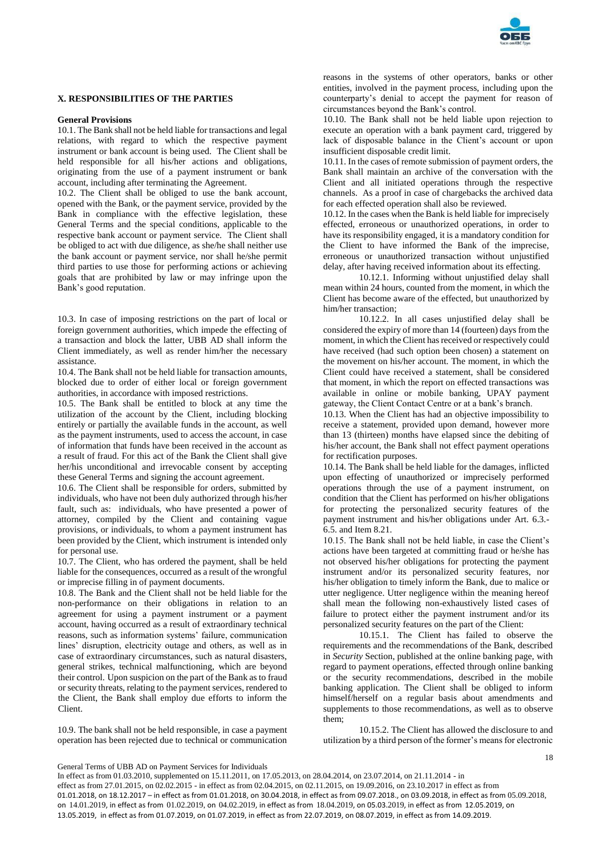

## **X. RESPONSIBILITIES OF THE PARTIES**

### **General Provisions**

10.1. The Bank shall not be held liable for transactions and legal relations, with regard to which the respective payment instrument or bank account is being used. The Client shall be held responsible for all his/her actions and obligations, originating from the use of a payment instrument or bank account, including after terminating the Agreement.

10.2. The Client shall be obliged to use the bank account, opened with the Bank, or the payment service, provided by the Bank in compliance with the effective legislation, these General Terms and the special conditions, applicable to the respective bank account or payment service. The Client shall be obliged to act with due diligence, as she/he shall neither use the bank account or payment service, nor shall he/she permit third parties to use those for performing actions or achieving goals that are prohibited by law or may infringe upon the Bank's good reputation.

10.3. In case of imposing restrictions on the part of local or foreign government authorities, which impede the effecting of a transaction and block the latter, UBB AD shall inform the Client immediately, as well as render him/her the necessary assistance.

10.4. The Bank shall not be held liable for transaction amounts, blocked due to order of either local or foreign government authorities, in accordance with imposed restrictions.

10.5. The Bank shall be entitled to block at any time the utilization of the account by the Client, including blocking entirely or partially the available funds in the account, as well as the payment instruments, used to access the account, in case of information that funds have been received in the account as a result of fraud. For this act of the Bank the Client shall give her/his unconditional and irrevocable consent by accepting these General Terms and signing the account agreement.

10.6. The Client shall be responsible for orders, submitted by individuals, who have not been duly authorized through his/her fault, such as: individuals, who have presented a power of attorney, compiled by the Client and containing vague provisions, or individuals, to whom a payment instrument has been provided by the Client, which instrument is intended only for personal use.

10.7. The Client, who has ordered the payment, shall be held liable for the consequences, occurred as a result of the wrongful or imprecise filling in of payment documents.

10.8. The Bank and the Client shall not be held liable for the non-performance on their obligations in relation to an agreement for using a payment instrument or a payment account, having occurred as a result of extraordinary technical reasons, such as information systems' failure, communication lines' disruption, electricity outage and others, as well as in case of extraordinary circumstances, such as natural disasters, general strikes, technical malfunctioning, which are beyond their control. Upon suspicion on the part of the Bank as to fraud or security threats, relating to the payment services, rendered to the Client, the Bank shall employ due efforts to inform the Client.

10.9. The bank shall not be held responsible, in case a payment operation has been rejected due to technical or communication reasons in the systems of other operators, banks or other entities, involved in the payment process, including upon the counterparty's denial to accept the payment for reason of circumstances beyond the Bank's control.

10.10. The Bank shall not be held liable upon rejection to execute an operation with a bank payment card, triggered by lack of disposable balance in the Client's account or upon insufficient disposable credit limit.

10.11. In the cases of remote submission of payment orders, the Bank shall maintain an archive of the conversation with the Client and all initiated operations through the respective channels. As a proof in case of chargebacks the archived data for each effected operation shall also be reviewed.

10.12. In the cases when the Bank is held liable for imprecisely effected, erroneous or unauthorized operations, in order to have its responsibility engaged, it is a mandatory condition for the Client to have informed the Bank of the imprecise, erroneous or unauthorized transaction without unjustified delay, after having received information about its effecting.

10.12.1. Informing without unjustified delay shall mean within 24 hours, counted from the moment, in which the Client has become aware of the effected, but unauthorized by him/her transaction;

10.12.2. In all cases unjustified delay shall be considered the expiry of more than 14 (fourteen) days from the moment, in which the Client has received or respectively could have received (had such option been chosen) a statement on the movement on his/her account. The moment, in which the Client could have received a statement, shall be considered that moment, in which the report on effected transactions was available in online or mobile banking, UPAY payment gateway, the Client Contact Centre or at a bank's branch.

10.13. When the Client has had an objective impossibility to receive a statement, provided upon demand, however more than 13 (thirteen) months have elapsed since the debiting of his/her account, the Bank shall not effect payment operations for rectification purposes.

10.14. The Bank shall be held liable for the damages, inflicted upon effecting of unauthorized or imprecisely performed operations through the use of a payment instrument, on condition that the Client has performed on his/her obligations for protecting the personalized security features of the payment instrument and his/her obligations under Art. 6.3.- 6.5. and Item 8.21.

10.15. The Bank shall not be held liable, in case the Client's actions have been targeted at committing fraud or he/she has not observed his/her obligations for protecting the payment instrument and/or its personalized security features, nor his/her obligation to timely inform the Bank, due to malice or utter negligence. Utter negligence within the meaning hereof shall mean the following non-exhaustively listed cases of failure to protect either the payment instrument and/or its personalized security features on the part of the Client:

10.15.1. The Client has failed to observe the requirements and the recommendations of the Bank, described in *Security* Section, published at the online banking page, with regard to payment operations, effected through online banking or the security recommendations, described in the mobile banking application. The Client shall be obliged to inform himself/herself on a regular basis about amendments and supplements to those recommendations, as well as to observe them;

10.15.2. The Client has allowed the disclosure to and utilization by a third person of the former's means for electronic

General Terms of UBB AD on Payment Services for Individuals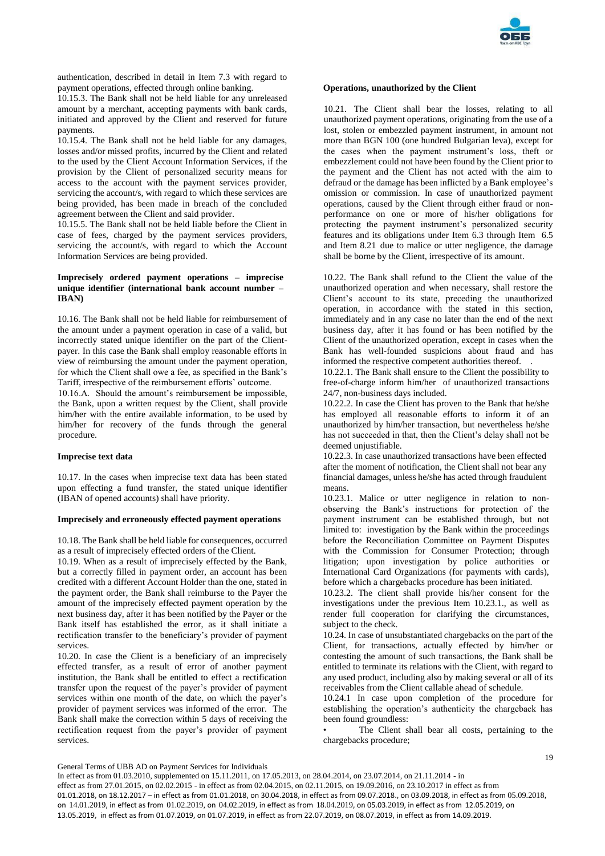

authentication, described in detail in Item 7.3 with regard to payment operations, effected through online banking.

10.15.3. The Bank shall not be held liable for any unreleased amount by a merchant, accepting payments with bank cards, initiated and approved by the Client and reserved for future payments.

10.15.4. The Bank shall not be held liable for any damages, losses and/or missed profits, incurred by the Client and related to the used by the Client Account Information Services, if the provision by the Client of personalized security means for access to the account with the payment services provider, servicing the account/s, with regard to which these services are being provided, has been made in breach of the concluded agreement between the Client and said provider.

10.15.5. The Bank shall not be held liable before the Client in case of fees, charged by the payment services providers, servicing the account/s, with regard to which the Account Information Services are being provided.

## **Imprecisely ordered payment operations – imprecise unique identifier (international bank account number – IBAN)**

10.16. The Bank shall not be held liable for reimbursement of the amount under a payment operation in case of a valid, but incorrectly stated unique identifier on the part of the Clientpayer. In this case the Bank shall employ reasonable efforts in view of reimbursing the amount under the payment operation, for which the Client shall owe a fee, as specified in the Bank's Tariff, irrespective of the reimbursement efforts' outcome.

10.16.А. Should the amount's reimbursement be impossible, the Bank, upon a written request by the Client, shall provide him/her with the entire available information, to be used by him/her for recovery of the funds through the general procedure.

### **Imprecise text data**

10.17. In the cases when imprecise text data has been stated upon effecting a fund transfer, the stated unique identifier (IBAN of opened accounts) shall have priority.

## **Imprecisely and erroneously effected payment operations**

10.18. The Bank shall be held liable for consequences, occurred as a result of imprecisely effected orders of the Client.

10.19. When as a result of imprecisely effected by the Bank, but a correctly filled in payment order, an account has been credited with a different Account Holder than the one, stated in the payment order, the Bank shall reimburse to the Payer the amount of the imprecisely effected payment operation by the next business day, after it has been notified by the Payer or the Bank itself has established the error, as it shall initiate a rectification transfer to the beneficiary's provider of payment services.

10.20. In case the Client is a beneficiary of an imprecisely effected transfer, as a result of error of another payment institution, the Bank shall be entitled to effect a rectification transfer upon the request of the payer's provider of payment services within one month of the date, on which the payer's provider of payment services was informed of the error. The Bank shall make the correction within 5 days of receiving the rectification request from the payer's provider of payment services.

#### **Operations, unauthorized by the Client**

10.21. The Client shall bear the losses, relating to all unauthorized payment operations, originating from the use of a lost, stolen or embezzled payment instrument, in amount not more than BGN 100 (one hundred Bulgarian leva), except for the cases when the payment instrument's loss, theft or embezzlement could not have been found by the Client prior to the payment and the Client has not acted with the aim to defraud or the damage has been inflicted by a Bank employee's omission or commission. In case of unauthorized payment operations, caused by the Client through either fraud or nonperformance on one or more of his/her obligations for protecting the payment instrument's personalized security features and its obligations under Item 6.3 through Item 6.5 and Item 8.21 due to malice or utter negligence, the damage shall be borne by the Client, irrespective of its amount.

10.22. The Bank shall refund to the Client the value of the unauthorized operation and when necessary, shall restore the Client's account to its state, preceding the unauthorized operation, in accordance with the stated in this section, immediately and in any case no later than the end of the next business day, after it has found or has been notified by the Client of the unauthorized operation, except in cases when the Bank has well-founded suspicions about fraud and has informed the respective competent authorities thereof. .

10.22.1. The Bank shall ensure to the Client the possibility to free-of-charge inform him/her of unauthorized transactions 24/7, non-business days included.

10.22.2. In case the Client has proven to the Bank that he/she has employed all reasonable efforts to inform it of an unauthorized by him/her transaction, but nevertheless he/she has not succeeded in that, then the Client's delay shall not be deemed unjustifiable.

10.22.3. In case unauthorized transactions have been effected after the moment of notification, the Client shall not bear any financial damages, unless he/she has acted through fraudulent means.

10.23.1. Malice or utter negligence in relation to nonobserving the Bank's instructions for protection of the payment instrument can be established through, but not limited to: investigation by the Bank within the proceedings before the Reconciliation Committee on Payment Disputes with the Commission for Consumer Protection; through litigation; upon investigation by police authorities or International Card Organizations (for payments with cards), before which a chargebacks procedure has been initiated.

10.23.2. The client shall provide his/her consent for the investigations under the previous Item 10.23.1., as well as render full cooperation for clarifying the circumstances, subject to the check.

10.24. In case of unsubstantiated chargebacks on the part of the Client, for transactions, actually effected by him/her or contesting the amount of such transactions, the Bank shall be entitled to terminate its relations with the Client, with regard to any used product, including also by making several or all of its receivables from the Client callable ahead of schedule.

10.24.1 In case upon completion of the procedure for establishing the operation's authenticity the chargeback has been found groundless:

The Client shall bear all costs, pertaining to the chargebacks procedure;

General Terms of UBB AD on Payment Services for Individuals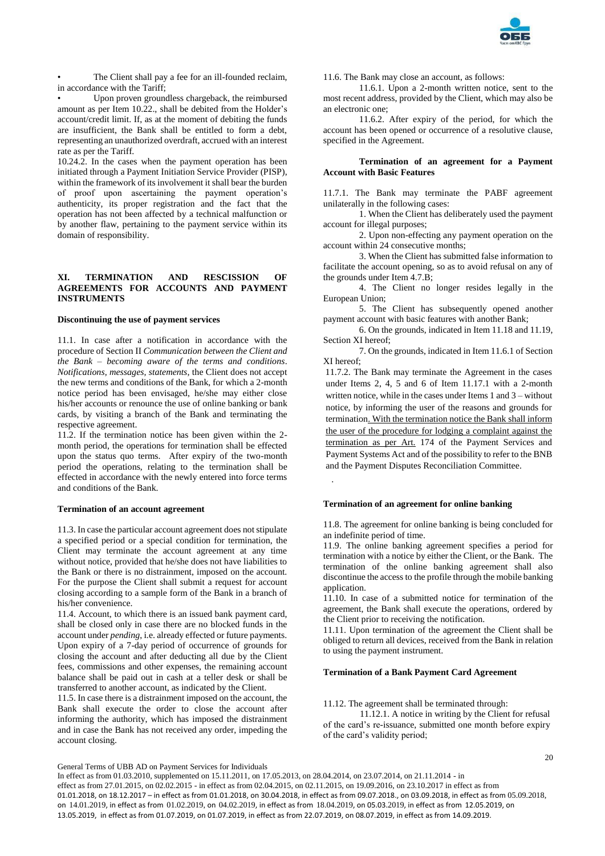

The Client shall pay a fee for an ill-founded reclaim, in accordance with the Tariff;

• Upon proven groundless chargeback, the reimbursed amount as per Item 10.22., shall be debited from the Holder's account/credit limit. If, as at the moment of debiting the funds are insufficient, the Bank shall be entitled to form a debt, representing an unauthorized overdraft, accrued with an interest rate as per the Tariff.

10.24.2. In the cases when the payment operation has been initiated through a Payment Initiation Service Provider (PISP), within the framework of its involvement it shall bear the burden of proof upon ascertaining the payment operation's authenticity, its proper registration and the fact that the operation has not been affected by a technical malfunction or by another flaw, pertaining to the payment service within its domain of responsibility.

## **XI. TERMINATION AND RESCISSION OF AGREEMENTS FOR ACCOUNTS AND PAYMENT INSTRUMENTS**

## **Discontinuing the use of payment services**

11.1. In case after a notification in accordance with the procedure of Section II *Communication between the Client and the Bank – becoming aware of the terms and conditions*. *Notifications, messages, statements*, the Client does not accept the new terms and conditions of the Bank, for which a 2-month notice period has been envisaged, he/she may either close his/her accounts or renounce the use of online banking or bank cards, by visiting a branch of the Bank and terminating the respective agreement.

11.2. If the termination notice has been given within the 2 month period, the operations for termination shall be effected upon the status quo terms. After expiry of the two-month period the operations, relating to the termination shall be effected in accordance with the newly entered into force terms and conditions of the Bank.

#### **Termination of an account agreement**

11.3. In case the particular account agreement does not stipulate a specified period or a special condition for termination, the Client may terminate the account agreement at any time without notice, provided that he/she does not have liabilities to the Bank or there is no distrainment, imposed on the account. For the purpose the Client shall submit a request for account closing according to a sample form of the Bank in a branch of his/her convenience.

11.4. Account, to which there is an issued bank payment card, shall be closed only in case there are no blocked funds in the account under *pending*, i.e. already effected or future payments. Upon expiry of a 7-day period of occurrence of grounds for closing the account and after deducting all due by the Client fees, commissions and other expenses, the remaining account balance shall be paid out in cash at a teller desk or shall be transferred to another account, as indicated by the Client.

11.5. In case there is a distrainment imposed on the account, the Bank shall execute the order to close the account after informing the authority, which has imposed the distrainment and in case the Bank has not received any order, impeding the account closing.

11.6. The Bank may close an account, as follows:

11.6.1. Upon a 2-month written notice, sent to the most recent address, provided by the Client, which may also be an electronic one;

11.6.2. After expiry of the period, for which the account has been opened or occurrence of a resolutive clause, specified in the Agreement.

## **Termination of an agreement for a Payment Account with Basic Features**

11.7.1. The Bank may terminate the PABF agreement unilaterally in the following cases:

1. When the Client has deliberately used the payment account for illegal purposes;

2. Upon non-effecting any payment operation on the account within 24 consecutive months;

3. When the Client has submitted false information to facilitate the account opening, so as to avoid refusal on any of the grounds under Item 4.7.B;

4. The Client no longer resides legally in the European Union;

5. The Client has subsequently opened another payment account with basic features with another Bank;

6. On the grounds, indicated in Item 11.18 and 11.19, Section XI hereof;

7. On the grounds, indicated in Item 11.6.1 of Section XI hereof;

11.7.2. The Bank may terminate the Agreement in the cases under Items 2, 4, 5 and 6 of Item 11.17.1 with a 2-month written notice, while in the cases under Items 1 and 3 – without notice, by informing the user of the reasons and grounds for termination. With the termination notice the Bank shall inform the user of the procedure for lodging a complaint against the termination as per Art. 174 of the Payment Services and Payment Systems Act and of the possibility to refer to the BNB and the Payment Disputes Reconciliation Committee.

### **Termination of an agreement for online banking**

11.8. The agreement for online banking is being concluded for an indefinite period of time.

11.9. The online banking agreement specifies a period for termination with a notice by either the Client, or the Bank. The termination of the online banking agreement shall also discontinue the access to the profile through the mobile banking application

11.10. In case of a submitted notice for termination of the agreement, the Bank shall execute the operations, ordered by the Client prior to receiving the notification.

11.11. Upon termination of the agreement the Client shall be obliged to return all devices, received from the Bank in relation to using the payment instrument.

#### **Termination of a Bank Payment Card Agreement**

11.12. The agreement shall be terminated through:

11.12.1. A notice in writing by the Client for refusal of the card's re-issuance, submitted one month before expiry of the card's validity period;

General Terms of UBB AD on Payment Services for Individuals

In effect as from 01.03.2010, supplemented on 15.11.2011, on 17.05.2013, on 28.04.2014, on 23.07.2014, on 21.11.2014 - in effect as from 27.01.2015, on 02.02.2015 - in effect as from 02.04.2015, on 02.11.2015, on 19.09.2016, on 23.10.2017 in effect as from 01.01.2018, on 18.12.2017 – in effect as from 01.01.2018, on 30.04.2018, in effect as from 09.07.2018., on 03.09.2018, in effect as from 05.09.2018, on 14.01.2019, in effect as from 01.02.2019, on 04.02.2019, in effect as from 18.04.2019, on 05.03.2019, in effect as from 12.05.2019, on 13.05.2019, in effect as from 01.07.2019, on 01.07.2019, in effect as from 22.07.2019, on 08.07.2019, in effect as from 14.09.2019.

.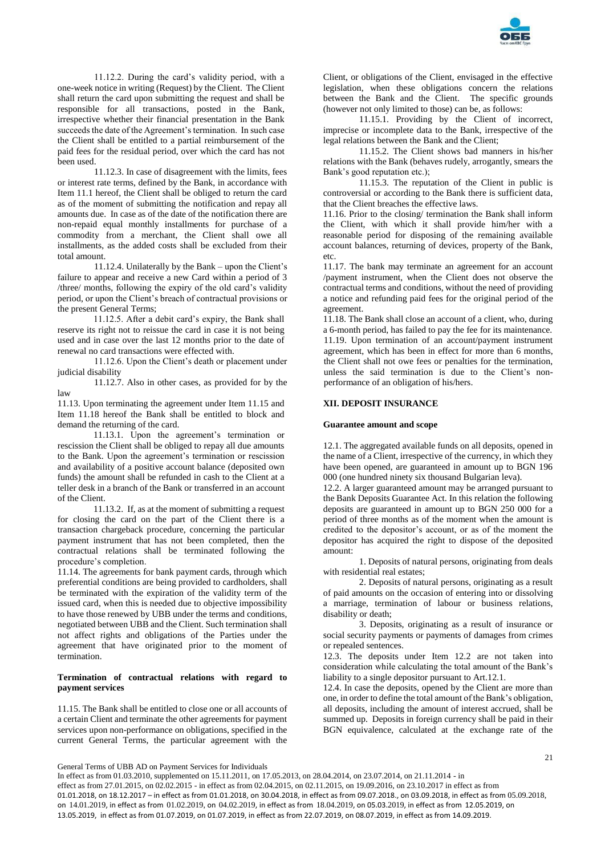

11.12.2. During the card's validity period, with a one-week notice in writing (Request) by the Client. The Client shall return the card upon submitting the request and shall be responsible for all transactions, posted in the Bank, irrespective whether their financial presentation in the Bank succeeds the date of the Agreement's termination. In such case the Client shall be entitled to a partial reimbursement of the paid fees for the residual period, over which the card has not been used.

11.12.3. In case of disagreement with the limits, fees or interest rate terms, defined by the Bank, in accordance with Item 11.1 hereof, the Client shall be obliged to return the card as of the moment of submitting the notification and repay all amounts due. In case as of the date of the notification there are non-repaid equal monthly installments for purchase of a commodity from a merchant, the Client shall owe all installments, as the added costs shall be excluded from their total amount.

11.12.4. Unilaterally by the Bank – upon the Client's failure to appear and receive a new Card within a period of 3 /three/ months, following the expiry of the old card's validity period, or upon the Client's breach of contractual provisions or the present General Terms;

11.12.5. After a debit card's expiry, the Bank shall reserve its right not to reissue the card in case it is not being used and in case over the last 12 months prior to the date of renewal no card transactions were effected with.

11.12.6. Upon the Client's death or placement under judicial disability

11.12.7. Also in other cases, as provided for by the law

11.13. Upon terminating the agreement under Item 11.15 and Item 11.18 hereof the Bank shall be entitled to block and demand the returning of the card.

11.13.1. Upon the agreement's termination or rescission the Client shall be obliged to repay all due amounts to the Bank. Upon the agreement's termination or rescission and availability of a positive account balance (deposited own funds) the amount shall be refunded in cash to the Client at a teller desk in a branch of the Bank or transferred in an account of the Client.

11.13.2. If, as at the moment of submitting a request for closing the card on the part of the Client there is a transaction chargeback procedure, concerning the particular payment instrument that has not been completed, then the contractual relations shall be terminated following the procedure's completion.

11.14. The agreements for bank payment cards, through which preferential conditions are being provided to cardholders, shall be terminated with the expiration of the validity term of the issued card, when this is needed due to objective impossibility to have those renewed by UBB under the terms and conditions, negotiated between UBB and the Client. Such termination shall not affect rights and obligations of the Parties under the agreement that have originated prior to the moment of termination.

## **Termination of contractual relations with regard to payment services**

11.15. The Bank shall be entitled to close one or all accounts of a certain Client and terminate the other agreements for payment services upon non-performance on obligations, specified in the current General Terms, the particular agreement with the Client, or obligations of the Client, envisaged in the effective legislation, when these obligations concern the relations between the Bank and the Client. The specific grounds (however not only limited to those) can be, as follows:

11.15.1. Providing by the Client of incorrect, imprecise or incomplete data to the Bank, irrespective of the legal relations between the Bank and the Client;

11.15.2. The Client shows bad manners in his/her relations with the Bank (behaves rudely, arrogantly, smears the Bank's good reputation etc.);

11.15.3. The reputation of the Client in public is controversial or according to the Bank there is sufficient data, that the Client breaches the effective laws.

11.16. Prior to the closing/ termination the Bank shall inform the Client, with which it shall provide him/her with a reasonable period for disposing of the remaining available account balances, returning of devices, property of the Bank, etc.

11.17. The bank may terminate an agreement for an account /payment instrument, when the Client does not observe the contractual terms and conditions, without the need of providing a notice and refunding paid fees for the original period of the agreement.

11.18. The Bank shall close an account of a client, who, during a 6-month period, has failed to pay the fee for its maintenance. 11.19. Upon termination of an account/payment instrument agreement, which has been in effect for more than 6 months, the Client shall not owe fees or penalties for the termination, unless the said termination is due to the Client's nonperformance of an obligation of his/hers.

## **XII. DEPOSIT INSURANCE**

### **Guarantee amount and scope**

12.1. The aggregated available funds on all deposits, opened in the name of a Client, irrespective of the currency, in which they have been opened, are guaranteed in amount up to BGN 196 000 (one hundred ninety six thousand Bulgarian leva).

12.2. A larger guaranteed amount may be arranged pursuant to the Bank Deposits Guarantee Act. In this relation the following deposits are guaranteed in amount up to BGN 250 000 for a period of three months as of the moment when the amount is credited to the depositor's account, or as of the moment the depositor has acquired the right to dispose of the deposited amount:

1. Deposits of natural persons, originating from deals with residential real estates;

2. Deposits of natural persons, originating as a result of paid amounts on the occasion of entering into or dissolving a marriage, termination of labour or business relations, disability or death;

3. Deposits, originating as a result of insurance or social security payments or payments of damages from crimes or repealed sentences.

12.3. The deposits under Item 12.2 are not taken into consideration while calculating the total amount of the Bank's liability to a single depositor pursuant to Art.12.1.

12.4. In case the deposits, opened by the Client are more than one, in order to define the total amount of the Bank's obligation, all deposits, including the amount of interest accrued, shall be summed up. Deposits in foreign currency shall be paid in their BGN equivalence, calculated at the exchange rate of the

General Terms of UBB AD on Payment Services for Individuals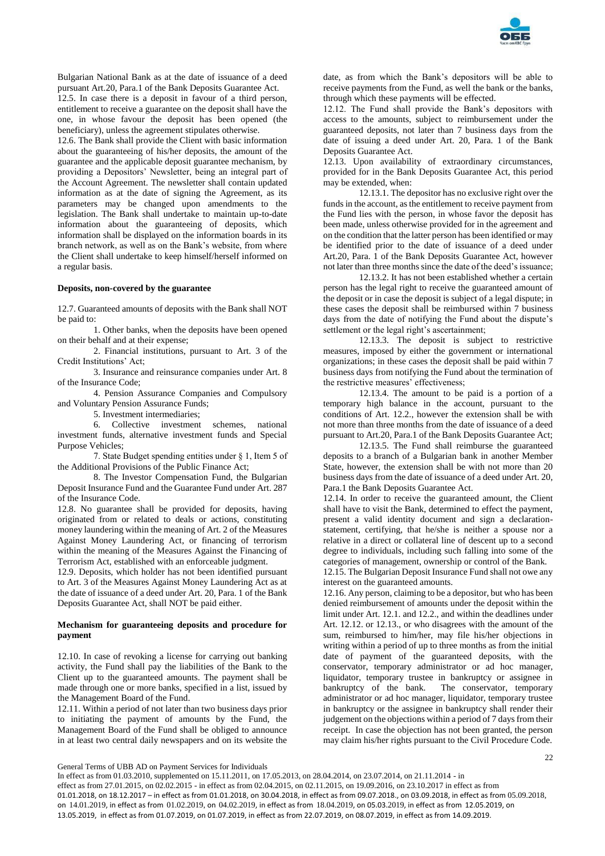

Bulgarian National Bank as at the date of issuance of a deed pursuant Art.20, Para.1 of the Bank Deposits Guarantee Act.

12.5. In case there is a deposit in favour of a third person, entitlement to receive a guarantee on the deposit shall have the one, in whose favour the deposit has been opened (the beneficiary), unless the agreement stipulates otherwise.

12.6. The Bank shall provide the Client with basic information about the guaranteeing of his/her deposits, the amount of the guarantee and the applicable deposit guarantee mechanism, by providing a Depositors' Newsletter, being an integral part of the Account Agreement. The newsletter shall contain updated information as at the date of signing the Agreement, as its parameters may be changed upon amendments to the legislation. The Bank shall undertake to maintain up-to-date information about the guaranteeing of deposits, which information shall be displayed on the information boards in its branch network, as well as on the Bank's website, from where the Client shall undertake to keep himself/herself informed on a regular basis.

### **Deposits, non-covered by the guarantee**

12.7. Guaranteed amounts of deposits with the Bank shall NOT be paid to:

1. Other banks, when the deposits have been opened on their behalf and at their expense;

2. Financial institutions, pursuant to Art. 3 of the Credit Institutions' Act;

3. Insurance and reinsurance companies under Art. 8 of the Insurance Code;

4. Pension Assurance Companies and Compulsory and Voluntary Pension Assurance Funds;

5. Investment intermediaries;

6. Collective investment schemes, national investment funds, alternative investment funds and Special Purpose Vehicles;

7. State Budget spending entities under § 1, Item 5 of the Additional Provisions of the Public Finance Act;

8. The Investor Compensation Fund, the Bulgarian Deposit Insurance Fund and the Guarantee Fund under Art. 287 of the Insurance Code.

12.8. No guarantee shall be provided for deposits, having originated from or related to deals or actions, constituting money laundering within the meaning of Art. 2 of the Measures Against Money Laundering Act, or financing of terrorism within the meaning of the Measures Against the Financing of Terrorism Act, established with an enforceable judgment.

12.9. Deposits, which holder has not been identified pursuant to Art. 3 of the Measures Against Money Laundering Act as at the date of issuance of a deed under Art. 20, Para. 1 of the Bank Deposits Guarantee Act, shall NOT be paid either.

### **Mechanism for guaranteeing deposits and procedure for payment**

12.10. In case of revoking a license for carrying out banking activity, the Fund shall pay the liabilities of the Bank to the Client up to the guaranteed amounts. The payment shall be made through one or more banks, specified in a list, issued by the Management Board of the Fund.

12.11. Within a period of not later than two business days prior to initiating the payment of amounts by the Fund, the Management Board of the Fund shall be obliged to announce in at least two central daily newspapers and on its website the date, as from which the Bank's depositors will be able to receive payments from the Fund, as well the bank or the banks, through which these payments will be effected.

12.12. The Fund shall provide the Bank's depositors with access to the amounts, subject to reimbursement under the guaranteed deposits, not later than 7 business days from the date of issuing a deed under Art. 20, Para. 1 of the Bank Deposits Guarantee Act.

12.13. Upon availability of extraordinary circumstances, provided for in the Bank Deposits Guarantee Act, this period may be extended, when:

12.13.1. The depositor has no exclusive right over the funds in the account, as the entitlement to receive payment from the Fund lies with the person, in whose favor the deposit has been made, unless otherwise provided for in the agreement and on the condition that the latter person has been identified or may be identified prior to the date of issuance of a deed under Art.20, Para. 1 of the Bank Deposits Guarantee Act, however not later than three months since the date of the deed's issuance;

12.13.2. It has not been established whether a certain person has the legal right to receive the guaranteed amount of the deposit or in case the deposit is subject of a legal dispute; in these cases the deposit shall be reimbursed within 7 business days from the date of notifying the Fund about the dispute's settlement or the legal right's ascertainment;

12.13.3. The deposit is subject to restrictive measures, imposed by either the government or international organizations; in these cases the deposit shall be paid within 7 business days from notifying the Fund about the termination of the restrictive measures' effectiveness;

12.13.4. The amount to be paid is a portion of a temporary high balance in the account, pursuant to the conditions of Art. 12.2., however the extension shall be with not more than three months from the date of issuance of a deed pursuant to Art.20, Para.1 of the Bank Deposits Guarantee Act;

12.13.5. The Fund shall reimburse the guaranteed deposits to a branch of a Bulgarian bank in another Member State, however, the extension shall be with not more than 20 business days from the date of issuance of a deed under Art. 20, Para.1 the Bank Deposits Guarantee Act.

12.14. In order to receive the guaranteed amount, the Client shall have to visit the Bank, determined to effect the payment, present a valid identity document and sign a declarationstatement, certifying, that he/she is neither a spouse nor a relative in a direct or collateral line of descent up to a second degree to individuals, including such falling into some of the categories of management, ownership or control of the Bank.

12.15. The Bulgarian Deposit Insurance Fund shall not owe any interest on the guaranteed amounts.

12.16. Any person, claiming to be a depositor, but who has been denied reimbursement of amounts under the deposit within the limit under Art. 12.1. and 12.2., and within the deadlines under Art. 12.12. or 12.13., or who disagrees with the amount of the sum, reimbursed to him/her, may file his/her objections in writing within a period of up to three months as from the initial date of payment of the guaranteed deposits, with the conservator, temporary administrator or ad hoc manager, liquidator, temporary trustee in bankruptcy or assignee in bankruptcy of the bank. The conservator, temporary administrator or ad hoc manager, liquidator, temporary trustee in bankruptcy or the assignee in bankruptcy shall render their judgement on the objections within a period of 7 days from their receipt. In case the objection has not been granted, the person may claim his/her rights pursuant to the Civil Procedure Code.

General Terms of UBB AD on Payment Services for Individuals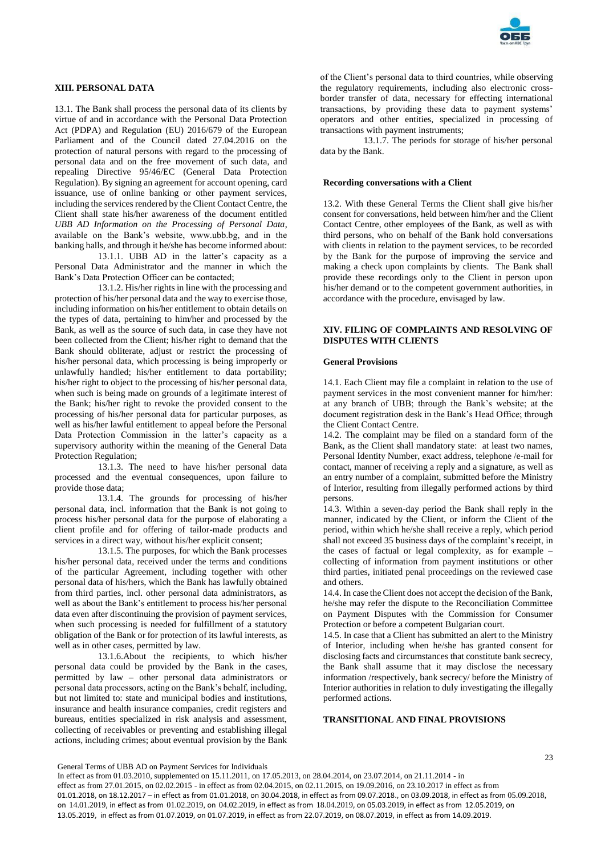

## **XIII. PERSONAL DATA**

13.1. The Bank shall process the personal data of its clients by virtue of and in accordance with the Personal Data Protection Act (PDPA) and Regulation (EU) 2016/679 of the European Parliament and of the Council dated 27.04.2016 on the protection of natural persons with regard to the processing of personal data and on the free movement of such data, and repealing Directive 95/46/EC (General Data Protection Regulation). By signing an agreement for account opening, card issuance, use of online banking or other payment services, including the services rendered by the Client Contact Centre, the Client shall state his/her awareness of the document entitled *UBB AD Information on the Processing of Personal Data*, available on the Bank's website, www.ubb.bg, and in the banking halls, and through it he/she has become informed about:

13.1.1. UBB AD in the latter's capacity as a Personal Data Administrator and the manner in which the Bank's Data Protection Officer can be contacted;

13.1.2. His/her rights in line with the processing and protection of his/her personal data and the way to exercise those, including information on his/her entitlement to obtain details on the types of data, pertaining to him/her and processed by the Bank, as well as the source of such data, in case they have not been collected from the Client; his/her right to demand that the Bank should obliterate, adjust or restrict the processing of his/her personal data, which processing is being improperly or unlawfully handled; his/her entitlement to data portability; his/her right to object to the processing of his/her personal data, when such is being made on grounds of a legitimate interest of the Bank; his/her right to revoke the provided consent to the processing of his/her personal data for particular purposes, as well as his/her lawful entitlement to appeal before the Personal Data Protection Commission in the latter's capacity as a supervisory authority within the meaning of the General Data Protection Regulation;

13.1.3. The need to have his/her personal data processed and the eventual consequences, upon failure to provide those data;

13.1.4. The grounds for processing of his/her personal data, incl. information that the Bank is not going to process his/her personal data for the purpose of elaborating a client profile and for offering of tailor-made products and services in a direct way, without his/her explicit consent;

13.1.5. The purposes, for which the Bank processes his/her personal data, received under the terms and conditions of the particular Agreement, including together with other personal data of his/hers, which the Bank has lawfully obtained from third parties, incl. other personal data administrators, as well as about the Bank's entitlement to process his/her personal data even after discontinuing the provision of payment services, when such processing is needed for fulfillment of a statutory obligation of the Bank or for protection of its lawful interests, as well as in other cases, permitted by law.

13.1.6.About the recipients, to which his/her personal data could be provided by the Bank in the cases, permitted by law – other personal data administrators or personal data processors, acting on the Bank's behalf, including, but not limited to: state and municipal bodies and institutions, insurance and health insurance companies, credit registers and bureaus, entities specialized in risk analysis and assessment, collecting of receivables or preventing and establishing illegal actions, including crimes; about eventual provision by the Bank of the Client's personal data to third countries, while observing the regulatory requirements, including also electronic crossborder transfer of data, necessary for effecting international transactions, by providing these data to payment systems' operators and other entities, specialized in processing of transactions with payment instruments;

13.1.7. The periods for storage of his/her personal data by the Bank.

## **Recording conversations with a Client**

13.2. With these General Terms the Client shall give his/her consent for conversations, held between him/her and the Client Contact Centre, other employees of the Bank, as well as with third persons, who on behalf of the Bank hold conversations with clients in relation to the payment services, to be recorded by the Bank for the purpose of improving the service and making a check upon complaints by clients. The Bank shall provide these recordings only to the Client in person upon his/her demand or to the competent government authorities, in accordance with the procedure, envisaged by law.

## **XIV. FILING OF COMPLAINTS AND RESOLVING OF DISPUTES WITH CLIENTS**

### **General Provisions**

14.1. Each Client may file a complaint in relation to the use of payment services in the most convenient manner for him/her: at any branch of UBB; through the Bank's website; at the document registration desk in the Bank's Head Office; through the Client Contact Centre.

14.2. The complaint may be filed on a standard form of the Bank, as the Client shall mandatory state: at least two names, Personal Identity Number, exact address, telephone /e-mail for contact, manner of receiving a reply and a signature, as well as an entry number of a complaint, submitted before the Ministry of Interior, resulting from illegally performed actions by third persons.

14.3. Within a seven-day period the Bank shall reply in the manner, indicated by the Client, or inform the Client of the period, within which he/she shall receive a reply, which period shall not exceed 35 business days of the complaint's receipt, in the cases of factual or legal complexity, as for example – collecting of information from payment institutions or other third parties, initiated penal proceedings on the reviewed case and others.

14.4. In case the Client does not accept the decision of the Bank, he/she may refer the dispute to the Reconciliation Committee on Payment Disputes with the Commission for Consumer Protection or before a competent Bulgarian court.

14.5. In case that a Client has submitted an alert to the Ministry of Interior, including when he/she has granted consent for disclosing facts and circumstances that constitute bank secrecy, the Bank shall assume that it may disclose the necessary information /respectively, bank secrecy/ before the Ministry of Interior authorities in relation to duly investigating the illegally performed actions.

## **TRANSITIONAL AND FINAL PROVISIONS**

General Terms of UBB AD on Payment Services for Individuals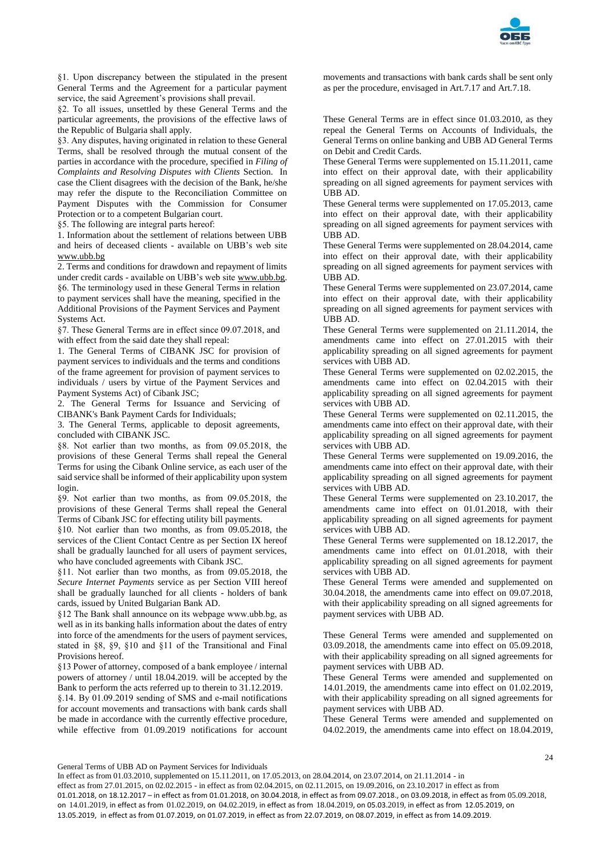

§1. Upon discrepancy between the stipulated in the present General Terms and the Agreement for a particular payment service, the said Agreement's provisions shall prevail.

§2. To all issues, unsettled by these General Terms and the particular agreements, the provisions of the effective laws of the Republic of Bulgaria shall apply.

§3. Any disputes, having originated in relation to these General Terms, shall be resolved through the mutual consent of the parties in accordance with the procedure, specified in *Filing of Complaints and Resolving Disputes with Clients* Section. In case the Client disagrees with the decision of the Bank, he/she may refer the dispute to the Reconciliation Committee on Payment Disputes with the Commission for Consumer Protection or to a competent Bulgarian court.

§5. The following are integral parts hereof:

1. Information about the settlement of relations between UBB and heirs of deceased clients - available on UBB's web site [www.ubb.bg](http://www.ubb.bg/)

2. Terms and conditions for drawdown and repayment of limits under credit cards - available on UBB's web site [www.ubb.bg.](http://www.ubb.bg/) §6. The terminology used in these General Terms in relation to payment services shall have the meaning, specified in the Additional Provisions of the Payment Services and Payment Systems Act.

§7. These General Terms are in effect since 09.07.2018, and with effect from the said date they shall repeal:

1. The General Terms of CIBANK JSC for provision of payment services to individuals and the terms and conditions of the frame agreement for provision of payment services to individuals / users by virtue of the Payment Services and Payment Systems Act) of Cibank JSC;

2. The General Terms for Issuance and Servicing of CIBANK's Bank Payment Cards for Individuals;

3. The General Terms, applicable to deposit agreements, concluded with CIBANK JSC.

§8. Not earlier than two months, as from 09.05.2018, the provisions of these General Terms shall repeal the General Terms for using the Cibank Online service, as each user of the said service shall be informed of their applicability upon system login.

§9. Not earlier than two months, as from 09.05.2018, the provisions of these General Terms shall repeal the General Terms of Cibank JSC for effecting utility bill payments.

§10. Not earlier than two months, as from 09.05.2018, the services of the Client Contact Centre as per Section IX hereof shall be gradually launched for all users of payment services, who have concluded agreements with Cibank JSC.

§11. Not earlier than two months, as from 09.05.2018, the *Secure Internet Payments* service as per Section VIII hereof shall be gradually launched for all clients - holders of bank cards, issued by United Bulgarian Bank AD.

§12 The Bank shall announce on its webpage www.ubb.bg, as well as in its banking halls information about the dates of entry into force of the amendments for the users of payment services, stated in §8, §9, §10 and §11 of the Transitional and Final Provisions hereof.

§13 Power of attorney, composed of a bank employee / internal powers of attorney / until 18.04.2019. will be accepted by the Bank to perform the acts referred up to therein to 31.12.2019.

§.14. By 01.09.2019 sending of SMS and e-mail notifications for account movements and transactions with bank cards shall be made in accordance with the currently effective procedure, while effective from 01.09.2019 notifications for account movements and transactions with bank cards shall be sent only as per the procedure, envisaged in Art.7.17 and Art.7.18.

These General Terms are in effect since 01.03.2010, as they repeal the General Terms on Accounts of Individuals, the General Terms on online banking and UBB AD General Terms on Debit and Credit Cards.

These General Terms were supplemented on 15.11.2011, came into effect on their approval date, with their applicability spreading on all signed agreements for payment services with UBB AD.

These General terms were supplemented on 17.05.2013, came into effect on their approval date, with their applicability spreading on all signed agreements for payment services with UBB AD.

These General Terms were supplemented on 28.04.2014, came into effect on their approval date, with their applicability spreading on all signed agreements for payment services with UBB AD.

These General Terms were supplemented on 23.07.2014, came into effect on their approval date, with their applicability spreading on all signed agreements for payment services with UBB AD.

These General Terms were supplemented on 21.11.2014, the amendments came into effect on 27.01.2015 with their applicability spreading on all signed agreements for payment services with UBB AD.

These General Terms were supplemented on 02.02.2015, the amendments came into effect on 02.04.2015 with their applicability spreading on all signed agreements for payment services with UBB AD.

These General Terms were supplemented on 02.11.2015, the amendments came into effect on their approval date, with their applicability spreading on all signed agreements for payment services with UBB AD.

These General Terms were supplemented on 19.09.2016, the amendments came into effect on their approval date, with their applicability spreading on all signed agreements for payment services with UBB AD.

These General Terms were supplemented on 23.10.2017, the amendments came into effect on 01.01.2018, with their applicability spreading on all signed agreements for payment services with UBB AD.

These General Terms were supplemented on 18.12.2017, the amendments came into effect on 01.01.2018, with their applicability spreading on all signed agreements for payment services with UBB AD.

These General Terms were amended and supplemented on 30.04.2018, the amendments came into effect on 09.07.2018, with their applicability spreading on all signed agreements for payment services with UBB AD.

These General Terms were amended and supplemented on 03.09.2018, the amendments came into effect on 05.09.2018, with their applicability spreading on all signed agreements for payment services with UBB AD.

These General Terms were amended and supplemented on 14.01.2019, the amendments came into effect on 01.02.2019, with their applicability spreading on all signed agreements for payment services with UBB AD.

These General Terms were amended and supplemented on 04.02.2019, the amendments came into effect on 18.04.2019,

General Terms of UBB AD on Payment Services for Individuals